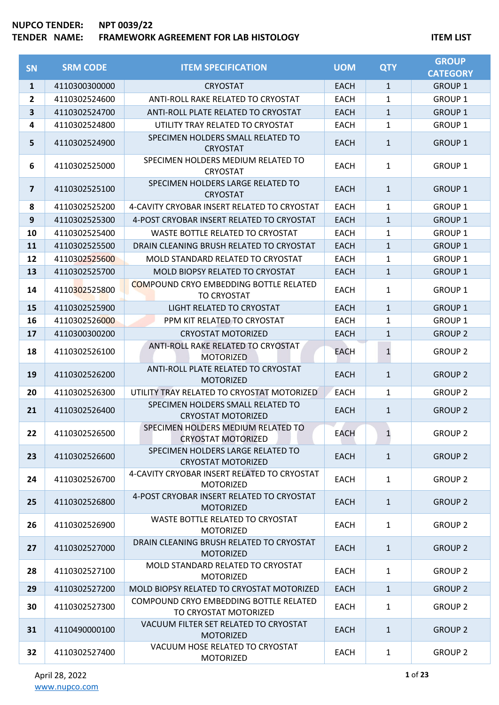### **NUPCO TENDER: NPT 0039/22 TERAMEWORK AGREEMENT FOR LAB HISTOLOGY ITEM LIST**

| <b>SN</b>    | <b>SRM CODE</b> | <b>ITEM SPECIFICATION</b>                                           | <b>UOM</b>  | <b>QTY</b>   | <b>GROUP</b><br><b>CATEGORY</b> |
|--------------|-----------------|---------------------------------------------------------------------|-------------|--------------|---------------------------------|
| $\mathbf{1}$ | 4110300300000   | <b>CRYOSTAT</b>                                                     | <b>EACH</b> | $\mathbf{1}$ | <b>GROUP 1</b>                  |
| 2            | 4110302524600   | ANTI-ROLL RAKE RELATED TO CRYOSTAT                                  | <b>EACH</b> | 1            | <b>GROUP 1</b>                  |
| 3            | 4110302524700   | ANTI-ROLL PLATE RELATED TO CRYOSTAT                                 | <b>EACH</b> | $\mathbf{1}$ | <b>GROUP 1</b>                  |
| 4            | 4110302524800   | UTILITY TRAY RELATED TO CRYOSTAT                                    | <b>EACH</b> | $\mathbf{1}$ | <b>GROUP 1</b>                  |
| 5            | 4110302524900   | SPECIMEN HOLDERS SMALL RELATED TO<br><b>CRYOSTAT</b>                | <b>EACH</b> | $\mathbf{1}$ | <b>GROUP 1</b>                  |
| 6            | 4110302525000   | SPECIMEN HOLDERS MEDIUM RELATED TO<br><b>CRYOSTAT</b>               | <b>EACH</b> | $\mathbf{1}$ | <b>GROUP 1</b>                  |
| 7            | 4110302525100   | SPECIMEN HOLDERS LARGE RELATED TO<br><b>CRYOSTAT</b>                | <b>EACH</b> | $\mathbf{1}$ | <b>GROUP 1</b>                  |
| 8            | 4110302525200   | 4-CAVITY CRYOBAR INSERT RELATED TO CRYOSTAT                         | <b>EACH</b> | $\mathbf{1}$ | <b>GROUP 1</b>                  |
| 9            | 4110302525300   | 4-POST CRYOBAR INSERT RELATED TO CRYOSTAT                           | <b>EACH</b> | $\mathbf{1}$ | <b>GROUP 1</b>                  |
| 10           | 4110302525400   | <b>WASTE BOTTLE RELATED TO CRYOSTAT</b>                             | <b>EACH</b> | $\mathbf{1}$ | <b>GROUP 1</b>                  |
| 11           | 4110302525500   | DRAIN CLEANING BRUSH RELATED TO CRYOSTAT                            | <b>EACH</b> | $\mathbf{1}$ | <b>GROUP 1</b>                  |
| 12           | 4110302525600   | MOLD STANDARD RELATED TO CRYOSTAT                                   | <b>EACH</b> | 1            | <b>GROUP 1</b>                  |
| 13           | 4110302525700   | MOLD BIOPSY RELATED TO CRYOSTAT                                     | <b>EACH</b> | $\mathbf{1}$ | <b>GROUP 1</b>                  |
| 14           | 4110302525800   | <b>COMPOUND CRYO EMBEDDING BOTTLE RELATED</b><br><b>TO CRYOSTAT</b> | <b>EACH</b> | $\mathbf{1}$ | <b>GROUP 1</b>                  |
| 15           | 4110302525900   | LIGHT RELATED TO CRYOSTAT                                           | <b>EACH</b> | $\mathbf{1}$ | <b>GROUP 1</b>                  |
| 16           | 4110302526000   | PPM KIT RELATED TO CRYOSTAT                                         | <b>EACH</b> | $\mathbf{1}$ | <b>GROUP 1</b>                  |
| 17           | 4110300300200   | <b>CRYOSTAT MOTORIZED</b>                                           | <b>EACH</b> | $\mathbf{1}$ | <b>GROUP 2</b>                  |
| 18           | 4110302526100   | ANTI-ROLL RAKE RELATED TO CRYOSTAT<br><b>MOTORIZED</b>              | <b>EACH</b> | $\mathbf{1}$ | <b>GROUP 2</b>                  |
| 19           | 4110302526200   | ANTI-ROLL PLATE RELATED TO CRYOSTAT<br><b>MOTORIZED</b>             | <b>EACH</b> | $\mathbf{1}$ | <b>GROUP 2</b>                  |
| 20           | 4110302526300   | UTILITY TRAY RELATED TO CRYOSTAT MOTORIZED                          | <b>EACH</b> | $\mathbf{1}$ | <b>GROUP 2</b>                  |
| 21           | 4110302526400   | SPECIMEN HOLDERS SMALL RELATED TO<br><b>CRYOSTAT MOTORIZED</b>      | <b>EACH</b> | $\mathbf{1}$ | <b>GROUP 2</b>                  |
| 22           | 4110302526500   | SPECIMEN HOLDERS MEDIUM RELATED TO<br><b>CRYOSTAT MOTORIZED</b>     | <b>EACH</b> | 1            | <b>GROUP 2</b>                  |
| 23           | 4110302526600   | SPECIMEN HOLDERS LARGE RELATED TO<br><b>CRYOSTAT MOTORIZED</b>      | <b>EACH</b> | $\mathbf{1}$ | <b>GROUP 2</b>                  |
| 24           | 4110302526700   | 4-CAVITY CRYOBAR INSERT RELATED TO CRYOSTAT<br><b>MOTORIZED</b>     | <b>EACH</b> | $\mathbf{1}$ | <b>GROUP 2</b>                  |
| 25           | 4110302526800   | 4-POST CRYOBAR INSERT RELATED TO CRYOSTAT<br><b>MOTORIZED</b>       | <b>EACH</b> | $\mathbf{1}$ | <b>GROUP 2</b>                  |
| 26           | 4110302526900   | WASTE BOTTLE RELATED TO CRYOSTAT<br><b>MOTORIZED</b>                | <b>EACH</b> | $\mathbf{1}$ | <b>GROUP 2</b>                  |
| 27           | 4110302527000   | DRAIN CLEANING BRUSH RELATED TO CRYOSTAT<br><b>MOTORIZED</b>        | <b>EACH</b> | $\mathbf{1}$ | <b>GROUP 2</b>                  |
| 28           | 4110302527100   | MOLD STANDARD RELATED TO CRYOSTAT<br><b>MOTORIZED</b>               | <b>EACH</b> | $\mathbf{1}$ | <b>GROUP 2</b>                  |
| 29           | 4110302527200   | MOLD BIOPSY RELATED TO CRYOSTAT MOTORIZED                           | <b>EACH</b> | $\mathbf{1}$ | <b>GROUP 2</b>                  |
| 30           | 4110302527300   | COMPOUND CRYO EMBEDDING BOTTLE RELATED<br>TO CRYOSTAT MOTORIZED     | <b>EACH</b> | $\mathbf{1}$ | <b>GROUP 2</b>                  |
| 31           | 4110490000100   | VACUUM FILTER SET RELATED TO CRYOSTAT<br><b>MOTORIZED</b>           | <b>EACH</b> | $\mathbf{1}$ | <b>GROUP 2</b>                  |
| 32           | 4110302527400   | VACUUM HOSE RELATED TO CRYOSTAT<br>MOTORIZED                        | <b>EACH</b> | $\mathbf{1}$ | <b>GROUP 2</b>                  |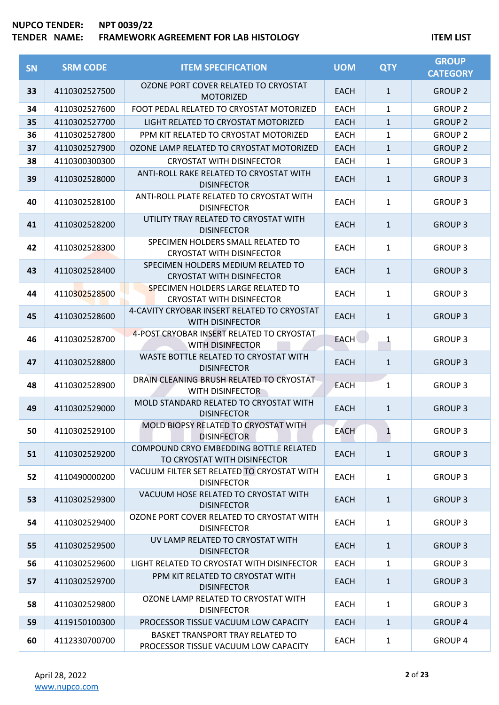# **NUPCO TENDER: NPT 0039/22 TERAMEWORK AGREEMENT FOR LAB HISTOLOGY ITEM LIST**

| <b>SN</b> | <b>SRM CODE</b> | <b>ITEM SPECIFICATION</b>                                                | <b>UOM</b>  | <b>QTY</b>   | <b>GROUP</b><br><b>CATEGORY</b> |
|-----------|-----------------|--------------------------------------------------------------------------|-------------|--------------|---------------------------------|
| 33        | 4110302527500   | OZONE PORT COVER RELATED TO CRYOSTAT<br><b>MOTORIZED</b>                 | <b>EACH</b> | $\mathbf{1}$ | <b>GROUP 2</b>                  |
| 34        | 4110302527600   | FOOT PEDAL RELATED TO CRYOSTAT MOTORIZED                                 | <b>EACH</b> | 1            | <b>GROUP 2</b>                  |
| 35        | 4110302527700   | LIGHT RELATED TO CRYOSTAT MOTORIZED                                      | <b>EACH</b> | $\mathbf{1}$ | <b>GROUP 2</b>                  |
| 36        | 4110302527800   | PPM KIT RELATED TO CRYOSTAT MOTORIZED                                    | <b>EACH</b> | 1            | <b>GROUP 2</b>                  |
| 37        | 4110302527900   | OZONE LAMP RELATED TO CRYOSTAT MOTORIZED                                 | <b>EACH</b> | $\mathbf{1}$ | <b>GROUP 2</b>                  |
| 38        | 4110300300300   | <b>CRYOSTAT WITH DISINFECTOR</b>                                         | <b>EACH</b> | $\mathbf{1}$ | <b>GROUP 3</b>                  |
| 39        | 4110302528000   | ANTI-ROLL RAKE RELATED TO CRYOSTAT WITH<br><b>DISINFECTOR</b>            | <b>EACH</b> | $\mathbf{1}$ | <b>GROUP 3</b>                  |
| 40        | 4110302528100   | ANTI-ROLL PLATE RELATED TO CRYOSTAT WITH<br><b>DISINFECTOR</b>           | <b>EACH</b> | $\mathbf{1}$ | <b>GROUP 3</b>                  |
| 41        | 4110302528200   | UTILITY TRAY RELATED TO CRYOSTAT WITH<br><b>DISINFECTOR</b>              | <b>EACH</b> | $\mathbf{1}$ | <b>GROUP 3</b>                  |
| 42        | 4110302528300   | SPECIMEN HOLDERS SMALL RELATED TO<br><b>CRYOSTAT WITH DISINFECTOR</b>    | <b>EACH</b> | 1            | <b>GROUP 3</b>                  |
| 43        | 4110302528400   | SPECIMEN HOLDERS MEDIUM RELATED TO<br><b>CRYOSTAT WITH DISINFECTOR</b>   | <b>EACH</b> | $\mathbf{1}$ | <b>GROUP 3</b>                  |
| 44        | 4110302528500   | SPECIMEN HOLDERS LARGE RELATED TO<br><b>CRYOSTAT WITH DISINFECTOR</b>    | <b>EACH</b> | $\mathbf{1}$ | <b>GROUP 3</b>                  |
| 45        | 4110302528600   | 4-CAVITY CRYOBAR INSERT RELATED TO CRYOSTAT<br><b>WITH DISINFECTOR</b>   | <b>EACH</b> | $\mathbf{1}$ | <b>GROUP 3</b>                  |
| 46        | 4110302528700   | 4-POST CRYOBAR INSERT RELATED TO CRYOSTAT<br><b>WITH DISINFECTOR</b>     | <b>EACH</b> | 1            | <b>GROUP 3</b>                  |
| 47        | 4110302528800   | WASTE BOTTLE RELATED TO CRYOSTAT WITH<br><b>DISINFECTOR</b>              | <b>EACH</b> | $\mathbf{1}$ | <b>GROUP 3</b>                  |
| 48        | 4110302528900   | DRAIN CLEANING BRUSH RELATED TO CRYOSTAT<br>WITH DISINFECTOR             | <b>EACH</b> | 1            | <b>GROUP 3</b>                  |
| 49        | 4110302529000   | MOLD STANDARD RELATED TO CRYOSTAT WITH<br><b>DISINFECTOR</b>             | <b>EACH</b> | $\mathbf{1}$ | <b>GROUP 3</b>                  |
| 50        | 4110302529100   | MOLD BIOPSY RELATED TO CRYOSTAT WITH<br><b>DISINFECTOR</b>               | <b>EACH</b> |              | <b>GROUP 3</b>                  |
| 51        | 4110302529200   | COMPOUND CRYO EMBEDDING BOTTLE RELATED<br>TO CRYOSTAT WITH DISINFECTOR   | <b>EACH</b> | $\mathbf{1}$ | <b>GROUP 3</b>                  |
| 52        | 4110490000200   | VACUUM FILTER SET RELATED TO CRYOSTAT WITH<br><b>DISINFECTOR</b>         | <b>EACH</b> | $\mathbf{1}$ | <b>GROUP 3</b>                  |
| 53        | 4110302529300   | VACUUM HOSE RELATED TO CRYOSTAT WITH<br><b>DISINFECTOR</b>               | <b>EACH</b> | $\mathbf{1}$ | <b>GROUP 3</b>                  |
| 54        | 4110302529400   | OZONE PORT COVER RELATED TO CRYOSTAT WITH<br><b>DISINFECTOR</b>          | <b>EACH</b> | $\mathbf{1}$ | <b>GROUP 3</b>                  |
| 55        | 4110302529500   | UV LAMP RELATED TO CRYOSTAT WITH<br><b>DISINFECTOR</b>                   | <b>EACH</b> | $\mathbf{1}$ | <b>GROUP 3</b>                  |
| 56        | 4110302529600   | LIGHT RELATED TO CRYOSTAT WITH DISINFECTOR                               | <b>EACH</b> | $\mathbf{1}$ | <b>GROUP 3</b>                  |
| 57        | 4110302529700   | PPM KIT RELATED TO CRYOSTAT WITH<br><b>DISINFECTOR</b>                   | <b>EACH</b> | $\mathbf{1}$ | <b>GROUP 3</b>                  |
| 58        | 4110302529800   | OZONE LAMP RELATED TO CRYOSTAT WITH<br><b>DISINFECTOR</b>                | <b>EACH</b> | $\mathbf{1}$ | <b>GROUP 3</b>                  |
| 59        | 4119150100300   | PROCESSOR TISSUE VACUUM LOW CAPACITY                                     | <b>EACH</b> | $\mathbf{1}$ | <b>GROUP 4</b>                  |
| 60        | 4112330700700   | BASKET TRANSPORT TRAY RELATED TO<br>PROCESSOR TISSUE VACUUM LOW CAPACITY | <b>EACH</b> | $\mathbf{1}$ | <b>GROUP 4</b>                  |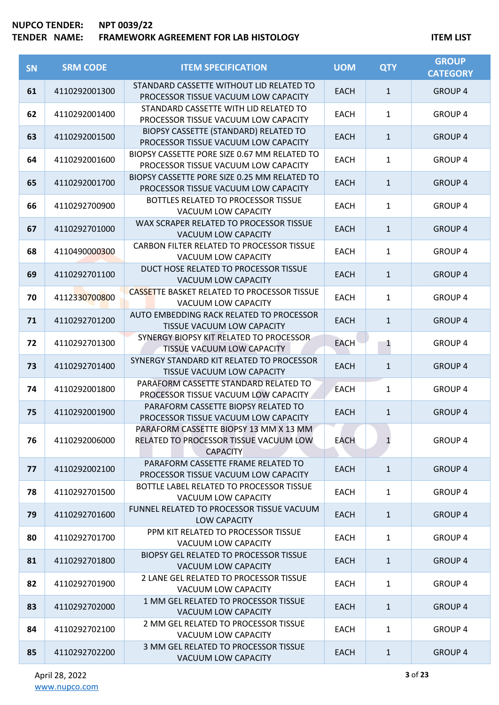| SN | <b>SRM CODE</b> | <b>ITEM SPECIFICATION</b>                                                                           | <b>UOM</b>  | <b>QTY</b>   | <b>GROUP</b><br><b>CATEGORY</b> |
|----|-----------------|-----------------------------------------------------------------------------------------------------|-------------|--------------|---------------------------------|
| 61 | 4110292001300   | STANDARD CASSETTE WITHOUT LID RELATED TO<br>PROCESSOR TISSUE VACUUM LOW CAPACITY                    | <b>EACH</b> | $\mathbf{1}$ | <b>GROUP 4</b>                  |
| 62 | 4110292001400   | STANDARD CASSETTE WITH LID RELATED TO<br>PROCESSOR TISSUE VACUUM LOW CAPACITY                       | <b>EACH</b> | $\mathbf{1}$ | <b>GROUP 4</b>                  |
| 63 | 4110292001500   | BIOPSY CASSETTE (STANDARD) RELATED TO<br>PROCESSOR TISSUE VACUUM LOW CAPACITY                       | <b>EACH</b> | $\mathbf{1}$ | <b>GROUP 4</b>                  |
| 64 | 4110292001600   | BIOPSY CASSETTE PORE SIZE 0.67 MM RELATED TO<br>PROCESSOR TISSUE VACUUM LOW CAPACITY                | <b>EACH</b> | $\mathbf{1}$ | <b>GROUP 4</b>                  |
| 65 | 4110292001700   | BIOPSY CASSETTE PORE SIZE 0.25 MM RELATED TO<br>PROCESSOR TISSUE VACUUM LOW CAPACITY                | <b>EACH</b> | $\mathbf{1}$ | <b>GROUP 4</b>                  |
| 66 | 4110292700900   | BOTTLES RELATED TO PROCESSOR TISSUE<br><b>VACUUM LOW CAPACITY</b>                                   | <b>EACH</b> | $\mathbf{1}$ | <b>GROUP 4</b>                  |
| 67 | 4110292701000   | WAX SCRAPER RELATED TO PROCESSOR TISSUE<br>VACUUM LOW CAPACITY                                      | <b>EACH</b> | $\mathbf{1}$ | <b>GROUP 4</b>                  |
| 68 | 4110490000300   | CARBON FILTER RELATED TO PROCESSOR TISSUE<br>VACUUM LOW CAPACITY                                    | <b>EACH</b> | $\mathbf{1}$ | <b>GROUP 4</b>                  |
| 69 | 4110292701100   | DUCT HOSE RELATED TO PROCESSOR TISSUE<br>VACUUM LOW CAPACITY                                        | <b>EACH</b> | $\mathbf{1}$ | <b>GROUP 4</b>                  |
| 70 | 4112330700800   | <b>CASSETTE BASKET RELATED TO PROCESSOR TISSUE</b><br>VACUUM LOW CAPACITY                           | <b>EACH</b> | $\mathbf{1}$ | <b>GROUP 4</b>                  |
| 71 | 4110292701200   | AUTO EMBEDDING RACK RELATED TO PROCESSOR<br>TISSUE VACUUM LOW CAPACITY                              | <b>EACH</b> | $\mathbf{1}$ | <b>GROUP 4</b>                  |
| 72 | 4110292701300   | SYNERGY BIOPSY KIT RELATED TO PROCESSOR<br>TISSUE VACUUM LOW CAPACITY                               | <b>EACH</b> | 1            | <b>GROUP 4</b>                  |
| 73 | 4110292701400   | SYNERGY STANDARD KIT RELATED TO PROCESSOR<br>TISSUE VACUUM LOW CAPACITY                             | <b>EACH</b> | $\mathbf{1}$ | <b>GROUP 4</b>                  |
| 74 | 4110292001800   | PARAFORM CASSETTE STANDARD RELATED TO<br>PROCESSOR TISSUE VACUUM LOW CAPACITY                       | <b>EACH</b> | $\mathbf{1}$ | <b>GROUP 4</b>                  |
| 75 | 4110292001900   | PARAFORM CASSETTE BIOPSY RELATED TO<br>PROCESSOR TISSUE VACUUM LOW CAPACITY                         | <b>EACH</b> | $\mathbf 1$  | <b>GROUP 4</b>                  |
| 76 | 4110292006000   | PARAFORM CASSETTE BIOPSY 13 MM X 13 MM<br>RELATED TO PROCESSOR TISSUE VACUUM LOW<br><b>CAPACITY</b> | <b>EACH</b> | $\mathbf{1}$ | <b>GROUP 4</b>                  |
| 77 | 4110292002100   | PARAFORM CASSETTE FRAME RELATED TO<br>PROCESSOR TISSUE VACUUM LOW CAPACITY                          | <b>EACH</b> | $\mathbf{1}$ | <b>GROUP 4</b>                  |
| 78 | 4110292701500   | BOTTLE LABEL RELATED TO PROCESSOR TISSUE<br><b>VACUUM LOW CAPACITY</b>                              | <b>EACH</b> | $\mathbf{1}$ | <b>GROUP 4</b>                  |
| 79 | 4110292701600   | FUNNEL RELATED TO PROCESSOR TISSUE VACUUM<br><b>LOW CAPACITY</b>                                    | <b>EACH</b> | $\mathbf{1}$ | <b>GROUP 4</b>                  |
| 80 | 4110292701700   | PPM KIT RELATED TO PROCESSOR TISSUE<br>VACUUM LOW CAPACITY                                          | <b>EACH</b> | $\mathbf{1}$ | <b>GROUP 4</b>                  |
| 81 | 4110292701800   | <b>BIOPSY GEL RELATED TO PROCESSOR TISSUE</b><br>VACUUM LOW CAPACITY                                | <b>EACH</b> | $\mathbf{1}$ | <b>GROUP 4</b>                  |
| 82 | 4110292701900   | 2 LANE GEL RELATED TO PROCESSOR TISSUE<br>VACUUM LOW CAPACITY                                       | <b>EACH</b> | $\mathbf{1}$ | <b>GROUP 4</b>                  |
| 83 | 4110292702000   | 1 MM GEL RELATED TO PROCESSOR TISSUE<br>VACUUM LOW CAPACITY                                         | <b>EACH</b> | $\mathbf{1}$ | <b>GROUP 4</b>                  |
| 84 | 4110292702100   | 2 MM GEL RELATED TO PROCESSOR TISSUE<br>VACUUM LOW CAPACITY                                         | <b>EACH</b> | $\mathbf{1}$ | <b>GROUP 4</b>                  |
| 85 | 4110292702200   | 3 MM GEL RELATED TO PROCESSOR TISSUE<br>VACUUM LOW CAPACITY                                         | <b>EACH</b> | $\mathbf{1}$ | <b>GROUP 4</b>                  |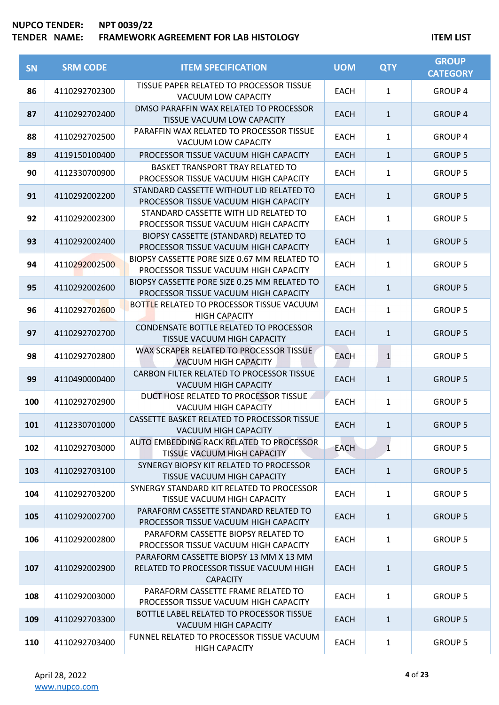| SN  | <b>SRM CODE</b> | <b>ITEM SPECIFICATION</b>                                                                            | <b>UOM</b>  | <b>QTY</b>   | <b>GROUP</b><br><b>CATEGORY</b> |
|-----|-----------------|------------------------------------------------------------------------------------------------------|-------------|--------------|---------------------------------|
| 86  | 4110292702300   | TISSUE PAPER RELATED TO PROCESSOR TISSUE<br>VACUUM LOW CAPACITY                                      | <b>EACH</b> | $\mathbf{1}$ | <b>GROUP 4</b>                  |
| 87  | 4110292702400   | DMSO PARAFFIN WAX RELATED TO PROCESSOR<br>TISSUE VACUUM LOW CAPACITY                                 | <b>EACH</b> | $\mathbf{1}$ | <b>GROUP 4</b>                  |
| 88  | 4110292702500   | PARAFFIN WAX RELATED TO PROCESSOR TISSUE<br><b>VACUUM LOW CAPACITY</b>                               | <b>EACH</b> | 1            | <b>GROUP 4</b>                  |
| 89  | 4119150100400   | PROCESSOR TISSUE VACUUM HIGH CAPACITY                                                                | <b>EACH</b> | $\mathbf{1}$ | <b>GROUP 5</b>                  |
| 90  | 4112330700900   | <b>BASKET TRANSPORT TRAY RELATED TO</b><br>PROCESSOR TISSUE VACUUM HIGH CAPACITY                     | <b>EACH</b> | $\mathbf{1}$ | <b>GROUP 5</b>                  |
| 91  | 4110292002200   | STANDARD CASSETTE WITHOUT LID RELATED TO<br>PROCESSOR TISSUE VACUUM HIGH CAPACITY                    | <b>EACH</b> | $\mathbf 1$  | <b>GROUP 5</b>                  |
| 92  | 4110292002300   | STANDARD CASSETTE WITH LID RELATED TO<br>PROCESSOR TISSUE VACUUM HIGH CAPACITY                       | <b>EACH</b> | $\mathbf{1}$ | <b>GROUP 5</b>                  |
| 93  | 4110292002400   | BIOPSY CASSETTE (STANDARD) RELATED TO<br>PROCESSOR TISSUE VACUUM HIGH CAPACITY                       | <b>EACH</b> | $\mathbf{1}$ | <b>GROUP 5</b>                  |
| 94  | 4110292002500   | BIOPSY CASSETTE PORE SIZE 0.67 MM RELATED TO<br>PROCESSOR TISSUE VACUUM HIGH CAPACITY                | <b>EACH</b> | $\mathbf{1}$ | <b>GROUP 5</b>                  |
| 95  | 4110292002600   | BIOPSY CASSETTE PORE SIZE 0.25 MM RELATED TO<br>PROCESSOR TISSUE VACUUM HIGH CAPACITY                | <b>EACH</b> | $\mathbf{1}$ | <b>GROUP 5</b>                  |
| 96  | 4110292702600   | BOTTLE RELATED TO PROCESSOR TISSUE VACUUM<br><b>HIGH CAPACITY</b>                                    | <b>EACH</b> | 1            | <b>GROUP 5</b>                  |
| 97  | 4110292702700   | CONDENSATE BOTTLE RELATED TO PROCESSOR<br>TISSUE VACUUM HIGH CAPACITY                                | <b>EACH</b> | $\mathbf{1}$ | <b>GROUP 5</b>                  |
| 98  | 4110292702800   | WAX SCRAPER RELATED TO PROCESSOR TISSUE<br><b>VACUUM HIGH CAPACITY</b>                               | <b>EACH</b> | $\mathbf 1$  | <b>GROUP 5</b>                  |
| 99  | 4110490000400   | CARBON FILTER RELATED TO PROCESSOR TISSUE<br><b>VACUUM HIGH CAPACITY</b>                             | <b>EACH</b> | $\mathbf{1}$ | <b>GROUP 5</b>                  |
| 100 | 4110292702900   | DUCT HOSE RELATED TO PROCESSOR TISSUE<br>VACUUM HIGH CAPACITY                                        | <b>EACH</b> | $\mathbf{1}$ | <b>GROUP 5</b>                  |
| 101 | 4112330701000   | CASSETTE BASKET RELATED TO PROCESSOR TISSUE<br>VACUUM HIGH CAPACITY                                  | <b>EACH</b> | $\mathbf{1}$ | <b>GROUP 5</b>                  |
| 102 | 4110292703000   | AUTO EMBEDDING RACK RELATED TO PROCESSOR<br>TISSUE VACUUM HIGH CAPACITY                              | <b>EACH</b> | $\mathbf{1}$ | <b>GROUP 5</b>                  |
| 103 | 4110292703100   | SYNERGY BIOPSY KIT RELATED TO PROCESSOR<br>TISSUE VACUUM HIGH CAPACITY                               | <b>EACH</b> | $\mathbf{1}$ | <b>GROUP 5</b>                  |
| 104 | 4110292703200   | SYNERGY STANDARD KIT RELATED TO PROCESSOR<br>TISSUE VACUUM HIGH CAPACITY                             | <b>EACH</b> | 1            | <b>GROUP 5</b>                  |
| 105 | 4110292002700   | PARAFORM CASSETTE STANDARD RELATED TO<br>PROCESSOR TISSUE VACUUM HIGH CAPACITY                       | <b>EACH</b> | $\mathbf{1}$ | <b>GROUP 5</b>                  |
| 106 | 4110292002800   | PARAFORM CASSETTE BIOPSY RELATED TO<br>PROCESSOR TISSUE VACUUM HIGH CAPACITY                         | <b>EACH</b> | $\mathbf{1}$ | <b>GROUP 5</b>                  |
| 107 | 4110292002900   | PARAFORM CASSETTE BIOPSY 13 MM X 13 MM<br>RELATED TO PROCESSOR TISSUE VACUUM HIGH<br><b>CAPACITY</b> | <b>EACH</b> | $\mathbf{1}$ | <b>GROUP 5</b>                  |
| 108 | 4110292003000   | PARAFORM CASSETTE FRAME RELATED TO<br>PROCESSOR TISSUE VACUUM HIGH CAPACITY                          | <b>EACH</b> | $\mathbf{1}$ | <b>GROUP 5</b>                  |
| 109 | 4110292703300   | BOTTLE LABEL RELATED TO PROCESSOR TISSUE<br><b>VACUUM HIGH CAPACITY</b>                              | <b>EACH</b> | $\mathbf{1}$ | <b>GROUP 5</b>                  |
| 110 | 4110292703400   | FUNNEL RELATED TO PROCESSOR TISSUE VACUUM<br><b>HIGH CAPACITY</b>                                    | <b>EACH</b> | 1            | <b>GROUP 5</b>                  |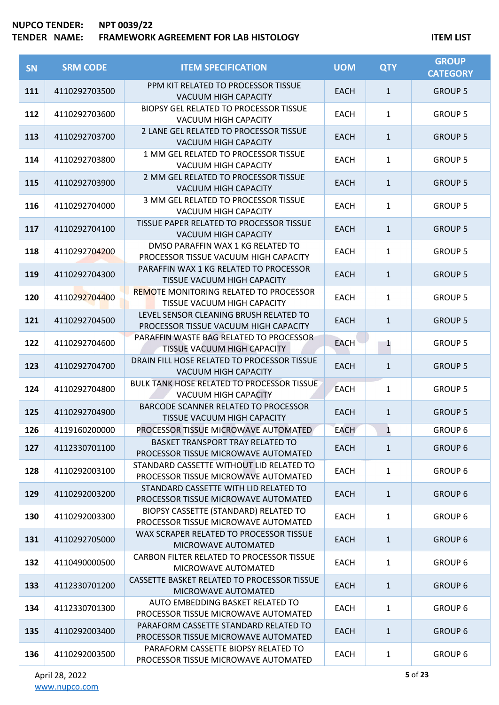| <b>SN</b> | <b>SRM CODE</b> | <b>ITEM SPECIFICATION</b>                                                        | <b>UOM</b>  | <b>QTY</b>   | <b>GROUP</b><br><b>CATEGORY</b> |
|-----------|-----------------|----------------------------------------------------------------------------------|-------------|--------------|---------------------------------|
| 111       | 4110292703500   | PPM KIT RELATED TO PROCESSOR TISSUE<br>VACUUM HIGH CAPACITY                      | <b>EACH</b> | $\mathbf{1}$ | <b>GROUP 5</b>                  |
| 112       | 4110292703600   | <b>BIOPSY GEL RELATED TO PROCESSOR TISSUE</b><br>VACUUM HIGH CAPACITY            | <b>EACH</b> | $\mathbf{1}$ | <b>GROUP 5</b>                  |
| 113       | 4110292703700   | 2 LANE GEL RELATED TO PROCESSOR TISSUE<br>VACUUM HIGH CAPACITY                   | <b>EACH</b> | $\mathbf{1}$ | <b>GROUP 5</b>                  |
| 114       | 4110292703800   | 1 MM GEL RELATED TO PROCESSOR TISSUE<br>VACUUM HIGH CAPACITY                     | <b>EACH</b> | $\mathbf{1}$ | <b>GROUP 5</b>                  |
| 115       | 4110292703900   | 2 MM GEL RELATED TO PROCESSOR TISSUE<br>VACUUM HIGH CAPACITY                     | <b>EACH</b> | $\mathbf{1}$ | <b>GROUP 5</b>                  |
| 116       | 4110292704000   | 3 MM GEL RELATED TO PROCESSOR TISSUE<br><b>VACUUM HIGH CAPACITY</b>              | <b>EACH</b> | $\mathbf{1}$ | <b>GROUP 5</b>                  |
| 117       | 4110292704100   | TISSUE PAPER RELATED TO PROCESSOR TISSUE<br>VACUUM HIGH CAPACITY                 | <b>EACH</b> | $\mathbf{1}$ | <b>GROUP 5</b>                  |
| 118       | 4110292704200   | DMSO PARAFFIN WAX 1 KG RELATED TO<br>PROCESSOR TISSUE VACUUM HIGH CAPACITY       | <b>EACH</b> | $\mathbf{1}$ | <b>GROUP 5</b>                  |
| 119       | 4110292704300   | PARAFFIN WAX 1 KG RELATED TO PROCESSOR<br>TISSUE VACUUM HIGH CAPACITY            | <b>EACH</b> | $\mathbf{1}$ | <b>GROUP 5</b>                  |
| 120       | 4110292704400   | <b>REMOTE MONITORING RELATED TO PROCESSOR</b><br>TISSUE VACUUM HIGH CAPACITY     | <b>EACH</b> | $\mathbf{1}$ | <b>GROUP 5</b>                  |
| 121       | 4110292704500   | LEVEL SENSOR CLEANING BRUSH RELATED TO<br>PROCESSOR TISSUE VACUUM HIGH CAPACITY  | <b>EACH</b> | $\mathbf{1}$ | <b>GROUP 5</b>                  |
| 122       | 4110292704600   | PARAFFIN WASTE BAG RELATED TO PROCESSOR<br>TISSUE VACUUM HIGH CAPACITY           | <b>EACH</b> | $\mathbf{1}$ | <b>GROUP 5</b>                  |
| 123       | 4110292704700   | DRAIN FILL HOSE RELATED TO PROCESSOR TISSUE<br><b>VACUUM HIGH CAPACITY</b>       | <b>EACH</b> | $\mathbf{1}$ | <b>GROUP 5</b>                  |
| 124       | 4110292704800   | <b>BULK TANK HOSE RELATED TO PROCESSOR TISSUE</b><br>VACUUM HIGH CAPACITY        | <b>EACH</b> | $\mathbf{1}$ | <b>GROUP 5</b>                  |
| 125       | 4110292704900   | BARCODE SCANNER RELATED TO PROCESSOR<br>TISSUE VACUUM HIGH CAPACITY              | <b>EACH</b> | $\mathbf{1}$ | <b>GROUP 5</b>                  |
| 126       | 4119160200000   | PROCESSOR TISSUE MICROWAVE AUTOMATED                                             | <b>EACH</b> | $\mathbf{1}$ | <b>GROUP 6</b>                  |
| 127       | 4112330701100   | <b>BASKET TRANSPORT TRAY RELATED TO</b><br>PROCESSOR TISSUE MICROWAVE AUTOMATED  | <b>EACH</b> | $\mathbf{1}$ | <b>GROUP 6</b>                  |
| 128       | 4110292003100   | STANDARD CASSETTE WITHOUT LID RELATED TO<br>PROCESSOR TISSUE MICROWAVE AUTOMATED | <b>EACH</b> | $\mathbf{1}$ | <b>GROUP 6</b>                  |
| 129       | 4110292003200   | STANDARD CASSETTE WITH LID RELATED TO<br>PROCESSOR TISSUE MICROWAVE AUTOMATED    | <b>EACH</b> | $\mathbf{1}$ | <b>GROUP 6</b>                  |
| 130       | 4110292003300   | BIOPSY CASSETTE (STANDARD) RELATED TO<br>PROCESSOR TISSUE MICROWAVE AUTOMATED    | <b>EACH</b> | $\mathbf{1}$ | <b>GROUP 6</b>                  |
| 131       | 4110292705000   | WAX SCRAPER RELATED TO PROCESSOR TISSUE<br>MICROWAVE AUTOMATED                   | <b>EACH</b> | $\mathbf{1}$ | <b>GROUP 6</b>                  |
| 132       | 4110490000500   | CARBON FILTER RELATED TO PROCESSOR TISSUE<br>MICROWAVE AUTOMATED                 | <b>EACH</b> | $\mathbf{1}$ | <b>GROUP 6</b>                  |
| 133       | 4112330701200   | CASSETTE BASKET RELATED TO PROCESSOR TISSUE<br>MICROWAVE AUTOMATED               | <b>EACH</b> | $\mathbf{1}$ | <b>GROUP 6</b>                  |
| 134       | 4112330701300   | AUTO EMBEDDING BASKET RELATED TO<br>PROCESSOR TISSUE MICROWAVE AUTOMATED         | <b>EACH</b> | $\mathbf{1}$ | <b>GROUP 6</b>                  |
| 135       | 4110292003400   | PARAFORM CASSETTE STANDARD RELATED TO<br>PROCESSOR TISSUE MICROWAVE AUTOMATED    | <b>EACH</b> | $\mathbf{1}$ | <b>GROUP 6</b>                  |
| 136       | 4110292003500   | PARAFORM CASSETTE BIOPSY RELATED TO<br>PROCESSOR TISSUE MICROWAVE AUTOMATED      | <b>EACH</b> | $\mathbf{1}$ | <b>GROUP 6</b>                  |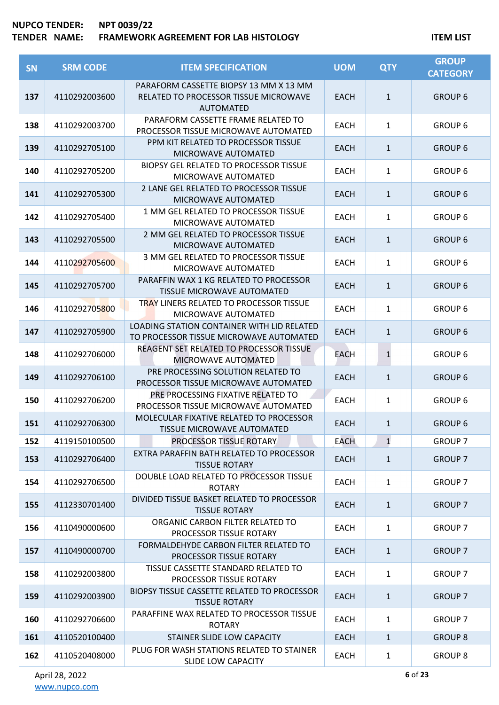| <b>SN</b> | <b>SRM CODE</b> | <b>ITEM SPECIFICATION</b>                                                                           | <b>UOM</b>  | <b>QTY</b>   | <b>GROUP</b><br><b>CATEGORY</b> |
|-----------|-----------------|-----------------------------------------------------------------------------------------------------|-------------|--------------|---------------------------------|
| 137       | 4110292003600   | PARAFORM CASSETTE BIOPSY 13 MM X 13 MM<br>RELATED TO PROCESSOR TISSUE MICROWAVE<br><b>AUTOMATED</b> | <b>EACH</b> | $\mathbf{1}$ | <b>GROUP 6</b>                  |
| 138       | 4110292003700   | PARAFORM CASSETTE FRAME RELATED TO<br>PROCESSOR TISSUE MICROWAVE AUTOMATED                          | <b>EACH</b> | $\mathbf{1}$ | <b>GROUP 6</b>                  |
| 139       | 4110292705100   | PPM KIT RELATED TO PROCESSOR TISSUE<br>MICROWAVE AUTOMATED                                          | <b>EACH</b> | $\mathbf{1}$ | <b>GROUP 6</b>                  |
| 140       | 4110292705200   | <b>BIOPSY GEL RELATED TO PROCESSOR TISSUE</b><br>MICROWAVE AUTOMATED                                | <b>EACH</b> | 1            | <b>GROUP 6</b>                  |
| 141       | 4110292705300   | 2 LANE GEL RELATED TO PROCESSOR TISSUE<br>MICROWAVE AUTOMATED                                       | <b>EACH</b> | $\mathbf{1}$ | <b>GROUP 6</b>                  |
| 142       | 4110292705400   | 1 MM GEL RELATED TO PROCESSOR TISSUE<br>MICROWAVE AUTOMATED                                         | <b>EACH</b> | $\mathbf{1}$ | <b>GROUP 6</b>                  |
| 143       | 4110292705500   | 2 MM GEL RELATED TO PROCESSOR TISSUE<br>MICROWAVE AUTOMATED                                         | <b>EACH</b> | $\mathbf{1}$ | <b>GROUP 6</b>                  |
| 144       | 4110292705600   | 3 MM GEL RELATED TO PROCESSOR TISSUE<br>MICROWAVE AUTOMATED                                         | <b>EACH</b> | $\mathbf{1}$ | <b>GROUP 6</b>                  |
| 145       | 4110292705700   | PARAFFIN WAX 1 KG RELATED TO PROCESSOR<br><b>TISSUE MICROWAVE AUTOMATED</b>                         | <b>EACH</b> | $\mathbf{1}$ | <b>GROUP 6</b>                  |
| 146       | 4110292705800   | <b>TRAY LINERS RELATED TO PROCESSOR TISSUE</b><br>MICROWAVE AUTOMATED                               | <b>EACH</b> | $\mathbf{1}$ | <b>GROUP 6</b>                  |
| 147       | 4110292705900   | LOADING STATION CONTAINER WITH LID RELATED<br>TO PROCESSOR TISSUE MICROWAVE AUTOMATED               | <b>EACH</b> | $\mathbf{1}$ | <b>GROUP 6</b>                  |
| 148       | 4110292706000   | REAGENT SET RELATED TO PROCESSOR TISSUE<br>MICROWAVE AUTOMATED                                      | <b>EACH</b> | $\mathbf{1}$ | <b>GROUP 6</b>                  |
| 149       | 4110292706100   | PRE PROCESSING SOLUTION RELATED TO<br>PROCESSOR TISSUE MICROWAVE AUTOMATED                          | <b>EACH</b> | $\mathbf{1}$ | <b>GROUP 6</b>                  |
| 150       | 4110292706200   | PRE PROCESSING FIXATIVE RELATED TO<br>PROCESSOR TISSUE MICROWAVE AUTOMATED                          | <b>EACH</b> | $\mathbf{1}$ | <b>GROUP 6</b>                  |
| 151       | 4110292706300   | MOLECULAR FIXATIVE RELATED TO PROCESSOR<br>TISSUE MICROWAVE AUTOMATED                               | <b>EACH</b> | $\mathbf{1}$ | <b>GROUP 6</b>                  |
| 152       | 4119150100500   | PROCESSOR TISSUE ROTARY                                                                             | <b>EACH</b> | $\mathbf{1}$ | <b>GROUP 7</b>                  |
| 153       | 4110292706400   | EXTRA PARAFFIN BATH RELATED TO PROCESSOR<br><b>TISSUE ROTARY</b>                                    | <b>EACH</b> | $\mathbf{1}$ | <b>GROUP 7</b>                  |
| 154       | 4110292706500   | DOUBLE LOAD RELATED TO PROCESSOR TISSUE<br><b>ROTARY</b>                                            | <b>EACH</b> | $\mathbf{1}$ | <b>GROUP 7</b>                  |
| 155       | 4112330701400   | DIVIDED TISSUE BASKET RELATED TO PROCESSOR<br><b>TISSUE ROTARY</b>                                  | <b>EACH</b> | $\mathbf{1}$ | <b>GROUP 7</b>                  |
| 156       | 4110490000600   | ORGANIC CARBON FILTER RELATED TO<br>PROCESSOR TISSUE ROTARY                                         | <b>EACH</b> | $\mathbf{1}$ | <b>GROUP 7</b>                  |
| 157       | 4110490000700   | FORMALDEHYDE CARBON FILTER RELATED TO<br>PROCESSOR TISSUE ROTARY                                    | <b>EACH</b> | $\mathbf{1}$ | <b>GROUP 7</b>                  |
| 158       | 4110292003800   | TISSUE CASSETTE STANDARD RELATED TO<br>PROCESSOR TISSUE ROTARY                                      | <b>EACH</b> | $\mathbf{1}$ | <b>GROUP 7</b>                  |
| 159       | 4110292003900   | BIOPSY TISSUE CASSETTE RELATED TO PROCESSOR<br><b>TISSUE ROTARY</b>                                 | <b>EACH</b> | $\mathbf{1}$ | <b>GROUP 7</b>                  |
| 160       | 4110292706600   | PARAFFINE WAX RELATED TO PROCESSOR TISSUE<br><b>ROTARY</b>                                          | <b>EACH</b> | $\mathbf{1}$ | <b>GROUP 7</b>                  |
| 161       | 4110520100400   | STAINER SLIDE LOW CAPACITY                                                                          | <b>EACH</b> | $\mathbf{1}$ | <b>GROUP 8</b>                  |
| 162       | 4110520408000   | PLUG FOR WASH STATIONS RELATED TO STAINER<br><b>SLIDE LOW CAPACITY</b>                              | <b>EACH</b> | $\mathbf{1}$ | <b>GROUP 8</b>                  |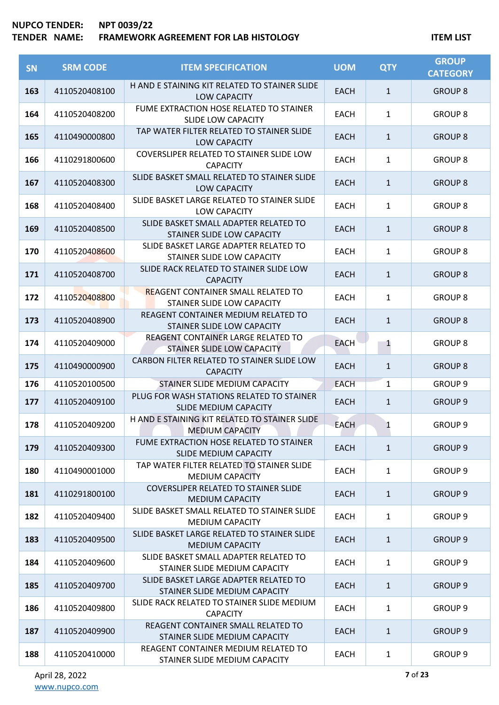| <b>SN</b> | <b>SRM CODE</b> | <b>ITEM SPECIFICATION</b>                                                 | <b>UOM</b>  | <b>QTY</b>   | <b>GROUP</b><br><b>CATEGORY</b> |
|-----------|-----------------|---------------------------------------------------------------------------|-------------|--------------|---------------------------------|
| 163       | 4110520408100   | H AND E STAINING KIT RELATED TO STAINER SLIDE<br>LOW CAPACITY             | <b>EACH</b> | $\mathbf{1}$ | <b>GROUP 8</b>                  |
| 164       | 4110520408200   | FUME EXTRACTION HOSE RELATED TO STAINER<br><b>SLIDE LOW CAPACITY</b>      | <b>EACH</b> | $\mathbf{1}$ | <b>GROUP 8</b>                  |
| 165       | 4110490000800   | TAP WATER FILTER RELATED TO STAINER SLIDE<br><b>LOW CAPACITY</b>          | <b>EACH</b> | $\mathbf{1}$ | <b>GROUP 8</b>                  |
| 166       | 4110291800600   | COVERSLIPER RELATED TO STAINER SLIDE LOW<br><b>CAPACITY</b>               | <b>EACH</b> | $\mathbf{1}$ | <b>GROUP 8</b>                  |
| 167       | 4110520408300   | SLIDE BASKET SMALL RELATED TO STAINER SLIDE<br><b>LOW CAPACITY</b>        | <b>EACH</b> | $\mathbf{1}$ | <b>GROUP 8</b>                  |
| 168       | 4110520408400   | SLIDE BASKET LARGE RELATED TO STAINER SLIDE<br><b>LOW CAPACITY</b>        | <b>EACH</b> | $\mathbf{1}$ | <b>GROUP 8</b>                  |
| 169       | 4110520408500   | SLIDE BASKET SMALL ADAPTER RELATED TO<br>STAINER SLIDE LOW CAPACITY       | <b>EACH</b> | $\mathbf{1}$ | <b>GROUP 8</b>                  |
| 170       | 4110520408600   | SLIDE BASKET LARGE ADAPTER RELATED TO<br>STAINER SLIDE LOW CAPACITY       | EACH        | 1            | <b>GROUP 8</b>                  |
| 171       | 4110520408700   | SLIDE RACK RELATED TO STAINER SLIDE LOW<br><b>CAPACITY</b>                | <b>EACH</b> | $\mathbf{1}$ | <b>GROUP 8</b>                  |
| 172       | 4110520408800   | <b>REAGENT CONTAINER SMALL RELATED TO</b><br>STAINER SLIDE LOW CAPACITY   | <b>EACH</b> | $\mathbf{1}$ | <b>GROUP 8</b>                  |
| 173       | 4110520408900   | REAGENT CONTAINER MEDIUM RELATED TO<br>STAINER SLIDE LOW CAPACITY         | <b>EACH</b> | $\mathbf{1}$ | <b>GROUP 8</b>                  |
| 174       | 4110520409000   | REAGENT CONTAINER LARGE RELATED TO<br>STAINER SLIDE LOW CAPACITY          | <b>EACH</b> | 1            | <b>GROUP 8</b>                  |
| 175       | 4110490000900   | CARBON FILTER RELATED TO STAINER SLIDE LOW<br><b>CAPACITY</b>             | <b>EACH</b> | $\mathbf{1}$ | <b>GROUP 8</b>                  |
| 176       | 4110520100500   | STAINER SLIDE MEDIUM CAPACITY                                             | <b>EACH</b> | $\mathbf{1}$ | <b>GROUP 9</b>                  |
| 177       | 4110520409100   | PLUG FOR WASH STATIONS RELATED TO STAINER<br><b>SLIDE MEDIUM CAPACITY</b> | <b>EACH</b> | $\mathbf{1}$ | <b>GROUP 9</b>                  |
| 178       | 4110520409200   | H AND E STAINING KIT RELATED TO STAINER SLIDE<br><b>MEDIUM CAPACITY</b>   | <b>EACH</b> | 1            | GROUP <sub>9</sub>              |
| 179       | 4110520409300   | FUME EXTRACTION HOSE RELATED TO STAINER<br>SLIDE MEDIUM CAPACITY          | <b>EACH</b> | $\mathbf{1}$ | <b>GROUP 9</b>                  |
| 180       | 4110490001000   | TAP WATER FILTER RELATED TO STAINER SLIDE<br><b>MEDIUM CAPACITY</b>       | <b>EACH</b> | $\mathbf{1}$ | <b>GROUP 9</b>                  |
| 181       | 4110291800100   | COVERSLIPER RELATED TO STAINER SLIDE<br><b>MEDIUM CAPACITY</b>            | <b>EACH</b> | $\mathbf{1}$ | <b>GROUP 9</b>                  |
| 182       | 4110520409400   | SLIDE BASKET SMALL RELATED TO STAINER SLIDE<br><b>MEDIUM CAPACITY</b>     | <b>EACH</b> | $\mathbf{1}$ | GROUP <sub>9</sub>              |
| 183       | 4110520409500   | SLIDE BASKET LARGE RELATED TO STAINER SLIDE<br><b>MEDIUM CAPACITY</b>     | <b>EACH</b> | $\mathbf{1}$ | GROUP <sub>9</sub>              |
| 184       | 4110520409600   | SLIDE BASKET SMALL ADAPTER RELATED TO<br>STAINER SLIDE MEDIUM CAPACITY    | <b>EACH</b> | $\mathbf{1}$ | GROUP 9                         |
| 185       | 4110520409700   | SLIDE BASKET LARGE ADAPTER RELATED TO<br>STAINER SLIDE MEDIUM CAPACITY    | <b>EACH</b> | $\mathbf{1}$ | GROUP <sub>9</sub>              |
| 186       | 4110520409800   | SLIDE RACK RELATED TO STAINER SLIDE MEDIUM<br><b>CAPACITY</b>             | EACH        | $\mathbf{1}$ | GROUP <sub>9</sub>              |
| 187       | 4110520409900   | REAGENT CONTAINER SMALL RELATED TO<br>STAINER SLIDE MEDIUM CAPACITY       | <b>EACH</b> | $\mathbf{1}$ | GROUP <sub>9</sub>              |
| 188       | 4110520410000   | REAGENT CONTAINER MEDIUM RELATED TO<br>STAINER SLIDE MEDIUM CAPACITY      | <b>EACH</b> | $\mathbf{1}$ | GROUP <sub>9</sub>              |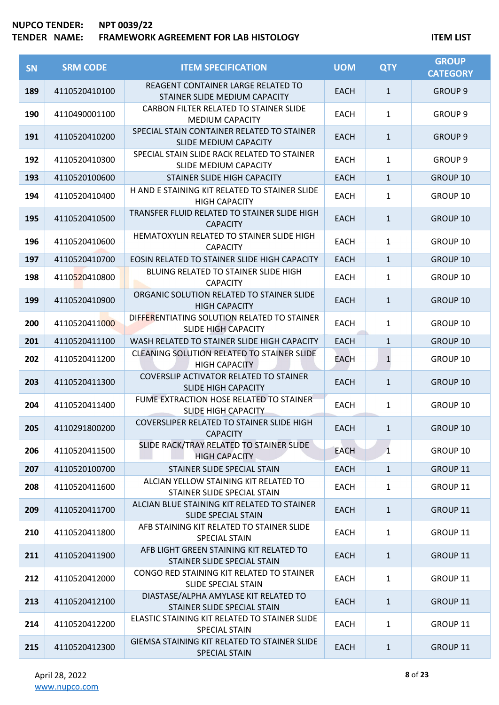| <b>SN</b> | <b>SRM CODE</b> | <b>ITEM SPECIFICATION</b>                                                  | <b>UOM</b>  | <b>QTY</b>   | <b>GROUP</b><br><b>CATEGORY</b> |
|-----------|-----------------|----------------------------------------------------------------------------|-------------|--------------|---------------------------------|
| 189       | 4110520410100   | REAGENT CONTAINER LARGE RELATED TO<br>STAINER SLIDE MEDIUM CAPACITY        | <b>EACH</b> | $\mathbf{1}$ | <b>GROUP 9</b>                  |
| 190       | 4110490001100   | CARBON FILTER RELATED TO STAINER SLIDE<br><b>MEDIUM CAPACITY</b>           | <b>EACH</b> | $\mathbf{1}$ | GROUP <sub>9</sub>              |
| 191       | 4110520410200   | SPECIAL STAIN CONTAINER RELATED TO STAINER<br><b>SLIDE MEDIUM CAPACITY</b> | <b>EACH</b> | $\mathbf{1}$ | <b>GROUP 9</b>                  |
| 192       | 4110520410300   | SPECIAL STAIN SLIDE RACK RELATED TO STAINER<br>SLIDE MEDIUM CAPACITY       | <b>EACH</b> | $\mathbf{1}$ | GROUP <sub>9</sub>              |
| 193       | 4110520100600   | STAINER SLIDE HIGH CAPACITY                                                | <b>EACH</b> | $\mathbf{1}$ | <b>GROUP 10</b>                 |
| 194       | 4110520410400   | H AND E STAINING KIT RELATED TO STAINER SLIDE<br><b>HIGH CAPACITY</b>      | <b>EACH</b> | $\mathbf{1}$ | GROUP 10                        |
| 195       | 4110520410500   | TRANSFER FLUID RELATED TO STAINER SLIDE HIGH<br><b>CAPACITY</b>            | <b>EACH</b> | $\mathbf{1}$ | GROUP 10                        |
| 196       | 4110520410600   | HEMATOXYLIN RELATED TO STAINER SLIDE HIGH<br><b>CAPACITY</b>               | EACH        | $\mathbf{1}$ | GROUP 10                        |
| 197       | 4110520410700   | EOSIN RELATED TO STAINER SLIDE HIGH CAPACITY                               | <b>EACH</b> | $\mathbf{1}$ | <b>GROUP 10</b>                 |
| 198       | 4110520410800   | BLUING RELATED TO STAINER SLIDE HIGH<br><b>CAPACITY</b>                    | <b>EACH</b> | $\mathbf{1}$ | GROUP 10                        |
| 199       | 4110520410900   | ORGANIC SOLUTION RELATED TO STAINER SLIDE<br><b>HIGH CAPACITY</b>          | <b>EACH</b> | $\mathbf{1}$ | <b>GROUP 10</b>                 |
| 200       | 4110520411000   | DIFFERENTIATING SOLUTION RELATED TO STAINER<br><b>SLIDE HIGH CAPACITY</b>  | <b>EACH</b> | $\mathbf{1}$ | GROUP 10                        |
| 201       | 4110520411100   | WASH RELATED TO STAINER SLIDE HIGH CAPACITY                                | <b>EACH</b> | $\mathbf{1}$ | GROUP 10                        |
| 202       | 4110520411200   | <b>CLEANING SOLUTION RELATED TO STAINER SLIDE</b><br><b>HIGH CAPACITY</b>  | EACH        | $\mathbf{1}$ | <b>GROUP 10</b>                 |
| 203       | 4110520411300   | COVERSLIP ACTIVATOR RELATED TO STAINER<br><b>SLIDE HIGH CAPACITY</b>       | <b>EACH</b> | $\mathbf{1}$ | <b>GROUP 10</b>                 |
| 204       | 4110520411400   | FUME EXTRACTION HOSE RELATED TO STAINER<br><b>SLIDE HIGH CAPACITY</b>      | <b>EACH</b> | $\mathbf{1}$ | GROUP 10                        |
| 205       | 4110291800200   | <b>COVERSLIPER RELATED TO STAINER SLIDE HIGH</b><br><b>CAPACITY</b>        | <b>EACH</b> | 1            | GROUP 10                        |
| 206       | 4110520411500   | SLIDE RACK/TRAY RELATED TO STAINER SLIDE<br><b>HIGH CAPACITY</b>           | <b>EACH</b> | $\mathbf{1}$ | GROUP 10                        |
| 207       | 4110520100700   | STAINER SLIDE SPECIAL STAIN                                                | <b>EACH</b> | $\mathbf{1}$ | GROUP 11                        |
| 208       | 4110520411600   | ALCIAN YELLOW STAINING KIT RELATED TO<br>STAINER SLIDE SPECIAL STAIN       | <b>EACH</b> | $\mathbf{1}$ | GROUP 11                        |
| 209       | 4110520411700   | ALCIAN BLUE STAINING KIT RELATED TO STAINER<br><b>SLIDE SPECIAL STAIN</b>  | <b>EACH</b> | $\mathbf{1}$ | <b>GROUP 11</b>                 |
| 210       | 4110520411800   | AFB STAINING KIT RELATED TO STAINER SLIDE<br><b>SPECIAL STAIN</b>          | <b>EACH</b> | $\mathbf{1}$ | GROUP 11                        |
| 211       | 4110520411900   | AFB LIGHT GREEN STAINING KIT RELATED TO<br>STAINER SLIDE SPECIAL STAIN     | <b>EACH</b> | $\mathbf{1}$ | GROUP 11                        |
| 212       | 4110520412000   | CONGO RED STAINING KIT RELATED TO STAINER<br>SLIDE SPECIAL STAIN           | <b>EACH</b> | $\mathbf{1}$ | GROUP 11                        |
| 213       | 4110520412100   | DIASTASE/ALPHA AMYLASE KIT RELATED TO<br>STAINER SLIDE SPECIAL STAIN       | <b>EACH</b> | $\mathbf{1}$ | <b>GROUP 11</b>                 |
| 214       | 4110520412200   | ELASTIC STAINING KIT RELATED TO STAINER SLIDE<br><b>SPECIAL STAIN</b>      | <b>EACH</b> | $\mathbf{1}$ | GROUP 11                        |
| 215       | 4110520412300   | GIEMSA STAINING KIT RELATED TO STAINER SLIDE<br>SPECIAL STAIN              | <b>EACH</b> | $\mathbf{1}$ | GROUP 11                        |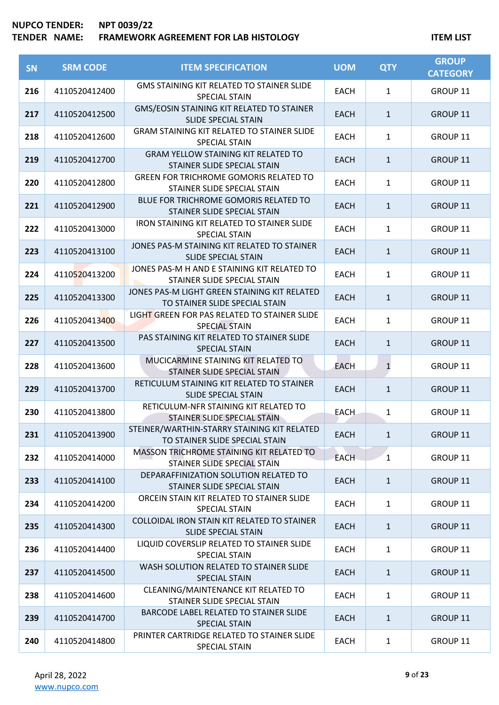| SN  | <b>SRM CODE</b> | <b>ITEM SPECIFICATION</b>                                                      | <b>UOM</b>  | <b>QTY</b>   | <b>GROUP</b><br><b>CATEGORY</b> |
|-----|-----------------|--------------------------------------------------------------------------------|-------------|--------------|---------------------------------|
| 216 | 4110520412400   | GMS STAINING KIT RELATED TO STAINER SLIDE<br><b>SPECIAL STAIN</b>              | <b>EACH</b> | $\mathbf{1}$ | GROUP 11                        |
| 217 | 4110520412500   | GMS/EOSIN STAINING KIT RELATED TO STAINER<br>SLIDE SPECIAL STAIN               | <b>EACH</b> | $\mathbf{1}$ | GROUP 11                        |
| 218 | 4110520412600   | <b>GRAM STAINING KIT RELATED TO STAINER SLIDE</b><br><b>SPECIAL STAIN</b>      | <b>EACH</b> | $\mathbf{1}$ | <b>GROUP 11</b>                 |
| 219 | 4110520412700   | <b>GRAM YELLOW STAINING KIT RELATED TO</b><br>STAINER SLIDE SPECIAL STAIN      | <b>EACH</b> | $\mathbf{1}$ | GROUP 11                        |
| 220 | 4110520412800   | <b>GREEN FOR TRICHROME GOMORIS RELATED TO</b><br>STAINER SLIDE SPECIAL STAIN   | <b>EACH</b> | $\mathbf{1}$ | GROUP 11                        |
| 221 | 4110520412900   | BLUE FOR TRICHROME GOMORIS RELATED TO<br>STAINER SLIDE SPECIAL STAIN           | <b>EACH</b> | $\mathbf{1}$ | GROUP 11                        |
| 222 | 4110520413000   | <b>IRON STAINING KIT RELATED TO STAINER SLIDE</b><br><b>SPECIAL STAIN</b>      | <b>EACH</b> | $\mathbf{1}$ | GROUP 11                        |
| 223 | 4110520413100   | JONES PAS-M STAINING KIT RELATED TO STAINER<br><b>SLIDE SPECIAL STAIN</b>      | <b>EACH</b> | $\mathbf{1}$ | GROUP <sub>11</sub>             |
| 224 | 4110520413200   | JONES PAS-M H AND E STAINING KIT RELATED TO<br>STAINER SLIDE SPECIAL STAIN     | <b>EACH</b> | $\mathbf{1}$ | GROUP 11                        |
| 225 | 4110520413300   | JONES PAS-M LIGHT GREEN STAINING KIT RELATED<br>TO STAINER SLIDE SPECIAL STAIN | <b>EACH</b> | $\mathbf{1}$ | GROUP 11                        |
| 226 | 4110520413400   | LIGHT GREEN FOR PAS RELATED TO STAINER SLIDE<br><b>SPECIAL STAIN</b>           | <b>EACH</b> | $\mathbf{1}$ | <b>GROUP 11</b>                 |
| 227 | 4110520413500   | PAS STAINING KIT RELATED TO STAINER SLIDE<br><b>SPECIAL STAIN</b>              | <b>EACH</b> | $\mathbf{1}$ | GROUP 11                        |
| 228 | 4110520413600   | MUCICARMINE STAINING KIT RELATED TO<br>STAINER SLIDE SPECIAL STAIN             | <b>EACH</b> | $\mathbf{1}$ | GROUP 11                        |
| 229 | 4110520413700   | RETICULUM STAINING KIT RELATED TO STAINER<br><b>SLIDE SPECIAL STAIN</b>        | <b>EACH</b> | $\mathbf{1}$ | GROUP 11                        |
| 230 | 4110520413800   | RETICULUM-NFR STAINING KIT RELATED TO<br>STAINER SLIDE SPECIAL STAIN           | <b>EACH</b> | $\mathbf{1}$ | GROUP 11                        |
| 231 | 4110520413900   | STEINER/WARTHIN-STARRY STAINING KIT RELATED<br>TO STAINER SLIDE SPECIAL STAIN  | <b>EACH</b> | $\mathbf{1}$ | GROUP 11                        |
| 232 | 4110520414000   | MASSON TRICHROME STAINING KIT RELATED TO<br>STAINER SLIDE SPECIAL STAIN        | <b>EACH</b> | $\mathbf{1}$ | GROUP 11                        |
| 233 | 4110520414100   | DEPARAFFINIZATION SOLUTION RELATED TO<br>STAINER SLIDE SPECIAL STAIN           | <b>EACH</b> | $\mathbf{1}$ | GROUP 11                        |
| 234 | 4110520414200   | ORCEIN STAIN KIT RELATED TO STAINER SLIDE<br>SPECIAL STAIN                     | <b>EACH</b> | $\mathbf{1}$ | GROUP 11                        |
| 235 | 4110520414300   | COLLOIDAL IRON STAIN KIT RELATED TO STAINER<br>SLIDE SPECIAL STAIN             | <b>EACH</b> | $\mathbf{1}$ | GROUP 11                        |
| 236 | 4110520414400   | LIQUID COVERSLIP RELATED TO STAINER SLIDE<br>SPECIAL STAIN                     | <b>EACH</b> | $\mathbf{1}$ | GROUP 11                        |
| 237 | 4110520414500   | WASH SOLUTION RELATED TO STAINER SLIDE<br><b>SPECIAL STAIN</b>                 | <b>EACH</b> | $\mathbf{1}$ | GROUP 11                        |
| 238 | 4110520414600   | CLEANING/MAINTENANCE KIT RELATED TO<br>STAINER SLIDE SPECIAL STAIN             | <b>EACH</b> | $\mathbf{1}$ | GROUP 11                        |
| 239 | 4110520414700   | BARCODE LABEL RELATED TO STAINER SLIDE<br><b>SPECIAL STAIN</b>                 | <b>EACH</b> | $\mathbf{1}$ | GROUP 11                        |
| 240 | 4110520414800   | PRINTER CARTRIDGE RELATED TO STAINER SLIDE<br>SPECIAL STAIN                    | EACH        | $\mathbf{1}$ | GROUP 11                        |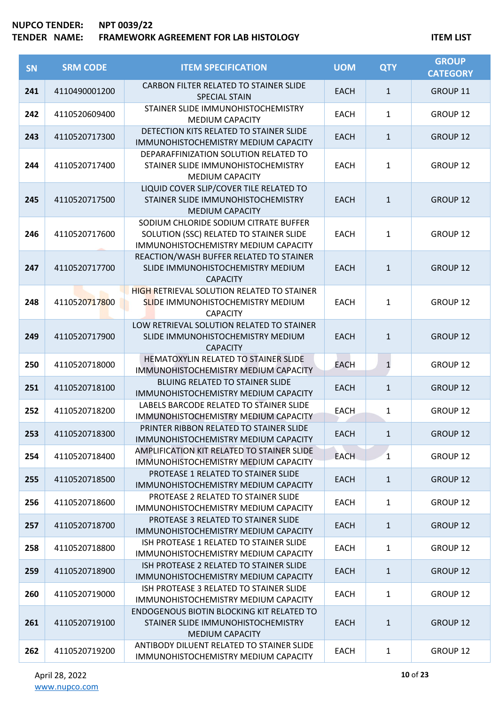| <b>SN</b> | <b>SRM CODE</b> | <b>ITEM SPECIFICATION</b>                                                                                                | <b>UOM</b>  | <b>QTY</b>   | <b>GROUP</b><br><b>CATEGORY</b> |
|-----------|-----------------|--------------------------------------------------------------------------------------------------------------------------|-------------|--------------|---------------------------------|
| 241       | 4110490001200   | CARBON FILTER RELATED TO STAINER SLIDE<br><b>SPECIAL STAIN</b>                                                           | <b>EACH</b> | $\mathbf{1}$ | GROUP 11                        |
| 242       | 4110520609400   | STAINER SLIDE IMMUNOHISTOCHEMISTRY<br><b>MEDIUM CAPACITY</b>                                                             | <b>EACH</b> | 1            | GROUP <sub>12</sub>             |
| 243       | 4110520717300   | DETECTION KITS RELATED TO STAINER SLIDE<br>IMMUNOHISTOCHEMISTRY MEDIUM CAPACITY                                          | <b>EACH</b> | $\mathbf{1}$ | GROUP 12                        |
| 244       | 4110520717400   | DEPARAFFINIZATION SOLUTION RELATED TO<br>STAINER SLIDE IMMUNOHISTOCHEMISTRY<br><b>MEDIUM CAPACITY</b>                    | <b>EACH</b> | $\mathbf{1}$ | GROUP 12                        |
| 245       | 4110520717500   | LIQUID COVER SLIP/COVER TILE RELATED TO<br>STAINER SLIDE IMMUNOHISTOCHEMISTRY<br><b>MEDIUM CAPACITY</b>                  | <b>EACH</b> | $\mathbf{1}$ | <b>GROUP 12</b>                 |
| 246       | 4110520717600   | SODIUM CHLORIDE SODIUM CITRATE BUFFER<br>SOLUTION (SSC) RELATED TO STAINER SLIDE<br>IMMUNOHISTOCHEMISTRY MEDIUM CAPACITY | <b>EACH</b> | $\mathbf{1}$ | GROUP 12                        |
| 247       | 4110520717700   | REACTION/WASH BUFFER RELATED TO STAINER<br>SLIDE IMMUNOHISTOCHEMISTRY MEDIUM<br><b>CAPACITY</b>                          | <b>EACH</b> | $\mathbf{1}$ | <b>GROUP 12</b>                 |
| 248       | 4110520717800   | <b>HIGH RETRIEVAL SOLUTION RELATED TO STAINER</b><br><b>SLIDE IMMUNOHISTOCHEMISTRY MEDIUM</b><br><b>CAPACITY</b>         | <b>EACH</b> | $\mathbf{1}$ | GROUP 12                        |
| 249       | 4110520717900   | LOW RETRIEVAL SOLUTION RELATED TO STAINER<br>SLIDE IMMUNOHISTOCHEMISTRY MEDIUM<br><b>CAPACITY</b>                        | <b>EACH</b> | $\mathbf{1}$ | <b>GROUP 12</b>                 |
| 250       | 4110520718000   | HEMATOXYLIN RELATED TO STAINER SLIDE<br>IMMUNOHISTOCHEMISTRY MEDIUM CAPACITY                                             | <b>EACH</b> | $\mathbf{1}$ | GROUP <sub>12</sub>             |
| 251       | 4110520718100   | BLUING RELATED TO STAINER SLIDE<br>IMMUNOHISTOCHEMISTRY MEDIUM CAPACITY                                                  | <b>EACH</b> | $\mathbf{1}$ | GROUP 12                        |
| 252       | 4110520718200   | LABELS BARCODE RELATED TO STAINER SLIDE<br>IMMUNOHISTOCHEMISTRY MEDIUM CAPACITY                                          | <b>EACH</b> | $\mathbf{1}$ | GROUP <sub>12</sub>             |
| 253       | 4110520718300   | PRINTER RIBBON RELATED TO STAINER SLIDE<br>IMMUNOHISTOCHEMISTRY MEDIUM CAPACITY                                          | EACH        | 1            | <b>GROUP 12</b>                 |
| 254       | 4110520718400   | AMPLIFICATION KIT RELATED TO STAINER SLIDE<br><b>IMMUNOHISTOCHEMISTRY MEDIUM CAPACITY</b>                                | <b>EACH</b> | $\mathbf{1}$ | GROUP 12                        |
| 255       | 4110520718500   | PROTEASE 1 RELATED TO STAINER SLIDE<br>IMMUNOHISTOCHEMISTRY MEDIUM CAPACITY                                              | <b>EACH</b> | $\mathbf{1}$ | <b>GROUP 12</b>                 |
| 256       | 4110520718600   | PROTEASE 2 RELATED TO STAINER SLIDE<br>IMMUNOHISTOCHEMISTRY MEDIUM CAPACITY                                              | <b>EACH</b> | $\mathbf{1}$ | GROUP 12                        |
| 257       | 4110520718700   | PROTEASE 3 RELATED TO STAINER SLIDE<br>IMMUNOHISTOCHEMISTRY MEDIUM CAPACITY                                              | <b>EACH</b> | $\mathbf{1}$ | <b>GROUP 12</b>                 |
| 258       | 4110520718800   | ISH PROTEASE 1 RELATED TO STAINER SLIDE<br>IMMUNOHISTOCHEMISTRY MEDIUM CAPACITY                                          | <b>EACH</b> | 1            | GROUP 12                        |
| 259       | 4110520718900   | ISH PROTEASE 2 RELATED TO STAINER SLIDE<br>IMMUNOHISTOCHEMISTRY MEDIUM CAPACITY                                          | <b>EACH</b> | $\mathbf{1}$ | <b>GROUP 12</b>                 |
| 260       | 4110520719000   | ISH PROTEASE 3 RELATED TO STAINER SLIDE<br>IMMUNOHISTOCHEMISTRY MEDIUM CAPACITY                                          | <b>EACH</b> | $\mathbf{1}$ | <b>GROUP 12</b>                 |
| 261       | 4110520719100   | <b>ENDOGENOUS BIOTIN BLOCKING KIT RELATED TO</b><br>STAINER SLIDE IMMUNOHISTOCHEMISTRY<br><b>MEDIUM CAPACITY</b>         | <b>EACH</b> | $\mathbf{1}$ | <b>GROUP 12</b>                 |
| 262       | 4110520719200   | ANTIBODY DILUENT RELATED TO STAINER SLIDE<br>IMMUNOHISTOCHEMISTRY MEDIUM CAPACITY                                        | <b>EACH</b> | $\mathbf{1}$ | GROUP 12                        |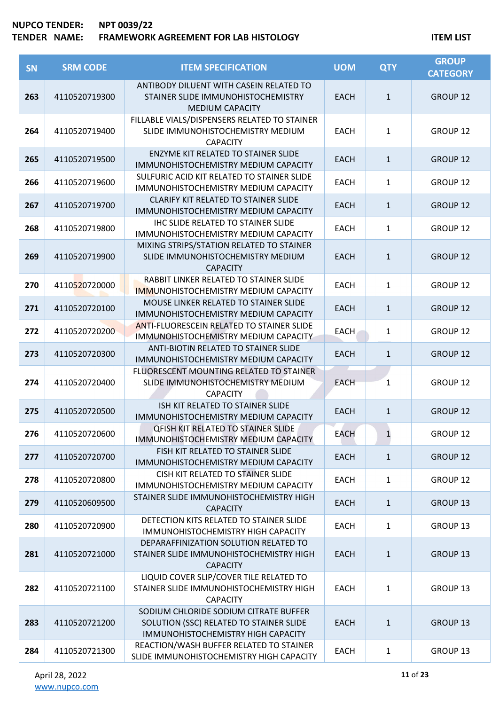| SN  | <b>SRM CODE</b> | <b>ITEM SPECIFICATION</b>                                                                                              | <b>UOM</b>  | <b>QTY</b>   | <b>GROUP</b><br><b>CATEGORY</b> |
|-----|-----------------|------------------------------------------------------------------------------------------------------------------------|-------------|--------------|---------------------------------|
| 263 | 4110520719300   | ANTIBODY DILUENT WITH CASEIN RELATED TO<br>STAINER SLIDE IMMUNOHISTOCHEMISTRY<br><b>MEDIUM CAPACITY</b>                | <b>EACH</b> | $\mathbf{1}$ | GROUP 12                        |
| 264 | 4110520719400   | FILLABLE VIALS/DISPENSERS RELATED TO STAINER<br>SLIDE IMMUNOHISTOCHEMISTRY MEDIUM<br><b>CAPACITY</b>                   | <b>EACH</b> | $\mathbf{1}$ | GROUP 12                        |
| 265 | 4110520719500   | <b>ENZYME KIT RELATED TO STAINER SLIDE</b><br>IMMUNOHISTOCHEMISTRY MEDIUM CAPACITY                                     | <b>EACH</b> | $\mathbf{1}$ | GROUP 12                        |
| 266 | 4110520719600   | SULFURIC ACID KIT RELATED TO STAINER SLIDE<br>IMMUNOHISTOCHEMISTRY MEDIUM CAPACITY                                     | <b>EACH</b> | $\mathbf{1}$ | GROUP 12                        |
| 267 | 4110520719700   | CLARIFY KIT RELATED TO STAINER SLIDE<br>IMMUNOHISTOCHEMISTRY MEDIUM CAPACITY                                           | <b>EACH</b> | $\mathbf{1}$ | GROUP 12                        |
| 268 | 4110520719800   | <b>IHC SLIDE RELATED TO STAINER SLIDE</b><br>IMMUNOHISTOCHEMISTRY MEDIUM CAPACITY                                      | <b>EACH</b> | $\mathbf{1}$ | GROUP 12                        |
| 269 | 4110520719900   | MIXING STRIPS/STATION RELATED TO STAINER<br>SLIDE IMMUNOHISTOCHEMISTRY MEDIUM<br><b>CAPACITY</b>                       | <b>EACH</b> | $\mathbf{1}$ | <b>GROUP 12</b>                 |
| 270 | 4110520720000   | RABBIT LINKER RELATED TO STAINER SLIDE<br><b>IMMUNOHISTOCHEMISTRY MEDIUM CAPACITY</b>                                  | <b>EACH</b> | $\mathbf{1}$ | GROUP <sub>12</sub>             |
| 271 | 4110520720100   | MOUSE LINKER RELATED TO STAINER SLIDE<br>IMMUNOHISTOCHEMISTRY MEDIUM CAPACITY                                          | <b>EACH</b> | $\mathbf{1}$ | <b>GROUP 12</b>                 |
| 272 | 4110520720200   | <b>ANTI-FLUORESCEIN RELATED TO STAINER SLIDE</b><br>IMMUNOHISTOCHEMISTRY MEDIUM CAPACITY                               | <b>EACH</b> | $\mathbf{1}$ | GROUP 12                        |
| 273 | 4110520720300   | ANTI-BIOTIN RELATED TO STAINER SLIDE<br>IMMUNOHISTOCHEMISTRY MEDIUM CAPACITY                                           | <b>EACH</b> | $\mathbf{1}$ | GROUP 12                        |
| 274 | 4110520720400   | FLUORESCENT MOUNTING RELATED TO STAINER<br>SLIDE IMMUNOHISTOCHEMISTRY MEDIUM<br><b>CAPACITY</b>                        | <b>EACH</b> | 1            | GROUP 12                        |
| 275 | 4110520720500   | ISH KIT RELATED TO STAINER SLIDE<br>IMMUNOHISTOCHEMISTRY MEDIUM CAPACITY                                               | <b>EACH</b> | $\mathbf{1}$ | GROUP 12                        |
| 276 | 4110520720600   | <b>QFISH KIT RELATED TO STAINER SLIDE</b><br>IMMUNOHISTOCHEMISTRY MEDIUM CAPACITY                                      | <b>EACH</b> | $\mathbf{1}$ | GROUP 12                        |
| 277 | 4110520720700   | FISH KIT RELATED TO STAINER SLIDE<br>IMMUNOHISTOCHEMISTRY MEDIUM CAPACITY                                              | <b>EACH</b> | $\mathbf{1}$ | <b>GROUP 12</b>                 |
| 278 | 4110520720800   | CISH KIT RELATED TO STAINER SLIDE<br>IMMUNOHISTOCHEMISTRY MEDIUM CAPACITY                                              | <b>EACH</b> | $\mathbf{1}$ | GROUP 12                        |
| 279 | 4110520609500   | STAINER SLIDE IMMUNOHISTOCHEMISTRY HIGH<br><b>CAPACITY</b>                                                             | <b>EACH</b> | $\mathbf{1}$ | <b>GROUP 13</b>                 |
| 280 | 4110520720900   | DETECTION KITS RELATED TO STAINER SLIDE<br>IMMUNOHISTOCHEMISTRY HIGH CAPACITY                                          | <b>EACH</b> | $\mathbf{1}$ | GROUP 13                        |
| 281 | 4110520721000   | DEPARAFFINIZATION SOLUTION RELATED TO<br>STAINER SLIDE IMMUNOHISTOCHEMISTRY HIGH<br><b>CAPACITY</b>                    | <b>EACH</b> | $\mathbf{1}$ | <b>GROUP 13</b>                 |
| 282 | 4110520721100   | LIQUID COVER SLIP/COVER TILE RELATED TO<br>STAINER SLIDE IMMUNOHISTOCHEMISTRY HIGH<br><b>CAPACITY</b>                  | <b>EACH</b> | $\mathbf{1}$ | GROUP 13                        |
| 283 | 4110520721200   | SODIUM CHLORIDE SODIUM CITRATE BUFFER<br>SOLUTION (SSC) RELATED TO STAINER SLIDE<br>IMMUNOHISTOCHEMISTRY HIGH CAPACITY | <b>EACH</b> | $\mathbf{1}$ | <b>GROUP 13</b>                 |
| 284 | 4110520721300   | REACTION/WASH BUFFER RELATED TO STAINER<br>SLIDE IMMUNOHISTOCHEMISTRY HIGH CAPACITY                                    | <b>EACH</b> | $\mathbf{1}$ | GROUP 13                        |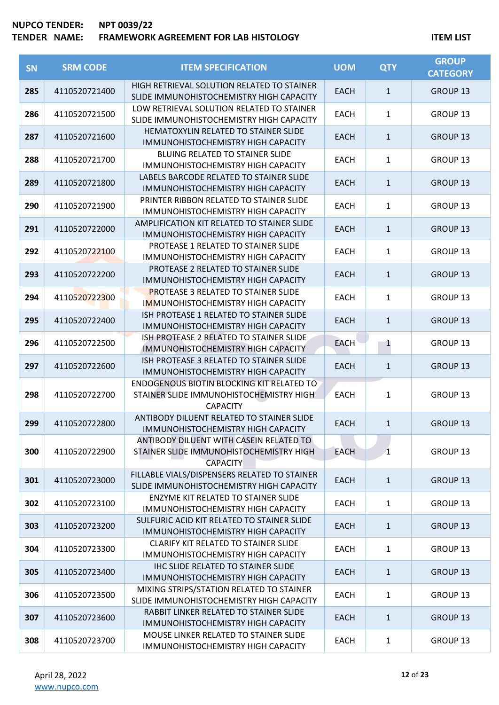| SN  | <b>SRM CODE</b> | <b>ITEM SPECIFICATION</b>                                                                                      | <b>UOM</b>  | <b>QTY</b>   | <b>GROUP</b><br><b>CATEGORY</b> |
|-----|-----------------|----------------------------------------------------------------------------------------------------------------|-------------|--------------|---------------------------------|
| 285 | 4110520721400   | HIGH RETRIEVAL SOLUTION RELATED TO STAINER<br>SLIDE IMMUNOHISTOCHEMISTRY HIGH CAPACITY                         | EACH        | $\mathbf{1}$ | GROUP 13                        |
| 286 | 4110520721500   | LOW RETRIEVAL SOLUTION RELATED TO STAINER<br>SLIDE IMMUNOHISTOCHEMISTRY HIGH CAPACITY                          | <b>EACH</b> | $\mathbf{1}$ | <b>GROUP 13</b>                 |
| 287 | 4110520721600   | HEMATOXYLIN RELATED TO STAINER SLIDE<br>IMMUNOHISTOCHEMISTRY HIGH CAPACITY                                     | <b>EACH</b> | $\mathbf{1}$ | <b>GROUP 13</b>                 |
| 288 | 4110520721700   | BLUING RELATED TO STAINER SLIDE<br>IMMUNOHISTOCHEMISTRY HIGH CAPACITY                                          | <b>EACH</b> | $\mathbf{1}$ | GROUP 13                        |
| 289 | 4110520721800   | LABELS BARCODE RELATED TO STAINER SLIDE<br>IMMUNOHISTOCHEMISTRY HIGH CAPACITY                                  | <b>EACH</b> | $\mathbf{1}$ | <b>GROUP 13</b>                 |
| 290 | 4110520721900   | PRINTER RIBBON RELATED TO STAINER SLIDE<br>IMMUNOHISTOCHEMISTRY HIGH CAPACITY                                  | <b>EACH</b> | $\mathbf{1}$ | GROUP 13                        |
| 291 | 4110520722000   | AMPLIFICATION KIT RELATED TO STAINER SLIDE<br>IMMUNOHISTOCHEMISTRY HIGH CAPACITY                               | <b>EACH</b> | $\mathbf{1}$ | <b>GROUP 13</b>                 |
| 292 | 4110520722100   | PROTEASE 1 RELATED TO STAINER SLIDE<br>IMMUNOHISTOCHEMISTRY HIGH CAPACITY                                      | <b>EACH</b> | 1            | GROUP 13                        |
| 293 | 4110520722200   | PROTEASE 2 RELATED TO STAINER SLIDE<br>IMMUNOHISTOCHEMISTRY HIGH CAPACITY                                      | <b>EACH</b> | $\mathbf{1}$ | <b>GROUP 13</b>                 |
| 294 | 4110520722300   | <b>PROTEASE 3 RELATED TO STAINER SLIDE</b><br>IMMUNOHISTOCHEMISTRY HIGH CAPACITY                               | <b>EACH</b> | $\mathbf{1}$ | <b>GROUP 13</b>                 |
| 295 | 4110520722400   | ISH PROTEASE 1 RELATED TO STAINER SLIDE<br>IMMUNOHISTOCHEMISTRY HIGH CAPACITY                                  | <b>EACH</b> | $\mathbf{1}$ | <b>GROUP 13</b>                 |
| 296 | 4110520722500   | ISH PROTEASE 2 RELATED TO STAINER SLIDE<br><b>IMMUNOHISTOCHEMISTRY HIGH CAPACITY</b>                           | <b>EACH</b> | 1            | GROUP 13                        |
| 297 | 4110520722600   | ISH PROTEASE 3 RELATED TO STAINER SLIDE<br>IMMUNOHISTOCHEMISTRY HIGH CAPACITY                                  | <b>EACH</b> | $\mathbf{1}$ | <b>GROUP 13</b>                 |
| 298 | 4110520722700   | <b>ENDOGENOUS BIOTIN BLOCKING KIT RELATED TO</b><br>STAINER SLIDE IMMUNOHISTOCHEMISTRY HIGH<br><b>CAPACITY</b> | <b>EACH</b> | 1            | GROUP 13                        |
| 299 | 4110520722800   | ANTIBODY DILUENT RELATED TO STAINER SLIDE<br><b>IMMUNOHISTOCHEMISTRY HIGH CAPACITY</b>                         | <b>EACH</b> | $\mathbf{1}$ | <b>GROUP 13</b>                 |
| 300 | 4110520722900   | ANTIBODY DILUENT WITH CASEIN RELATED TO<br>STAINER SLIDE IMMUNOHISTOCHEMISTRY HIGH<br><b>CAPACITY</b>          | <b>EACH</b> | $\mathbf{1}$ | GROUP 13                        |
| 301 | 4110520723000   | FILLABLE VIALS/DISPENSERS RELATED TO STAINER<br>SLIDE IMMUNOHISTOCHEMISTRY HIGH CAPACITY                       | <b>EACH</b> | $\mathbf{1}$ | <b>GROUP 13</b>                 |
| 302 | 4110520723100   | <b>ENZYME KIT RELATED TO STAINER SLIDE</b><br>IMMUNOHISTOCHEMISTRY HIGH CAPACITY                               | <b>EACH</b> | 1            | GROUP 13                        |
| 303 | 4110520723200   | SULFURIC ACID KIT RELATED TO STAINER SLIDE<br>IMMUNOHISTOCHEMISTRY HIGH CAPACITY                               | <b>EACH</b> | $\mathbf{1}$ | <b>GROUP 13</b>                 |
| 304 | 4110520723300   | <b>CLARIFY KIT RELATED TO STAINER SLIDE</b><br>IMMUNOHISTOCHEMISTRY HIGH CAPACITY                              | <b>EACH</b> | $\mathbf{1}$ | GROUP 13                        |
| 305 | 4110520723400   | IHC SLIDE RELATED TO STAINER SLIDE<br>IMMUNOHISTOCHEMISTRY HIGH CAPACITY                                       | <b>EACH</b> | $\mathbf{1}$ | GROUP 13                        |
| 306 | 4110520723500   | MIXING STRIPS/STATION RELATED TO STAINER<br>SLIDE IMMUNOHISTOCHEMISTRY HIGH CAPACITY                           | <b>EACH</b> | 1            | GROUP 13                        |
| 307 | 4110520723600   | RABBIT LINKER RELATED TO STAINER SLIDE<br>IMMUNOHISTOCHEMISTRY HIGH CAPACITY                                   | <b>EACH</b> | $\mathbf{1}$ | GROUP 13                        |
| 308 | 4110520723700   | MOUSE LINKER RELATED TO STAINER SLIDE<br>IMMUNOHISTOCHEMISTRY HIGH CAPACITY                                    | <b>EACH</b> | $\mathbf{1}$ | GROUP 13                        |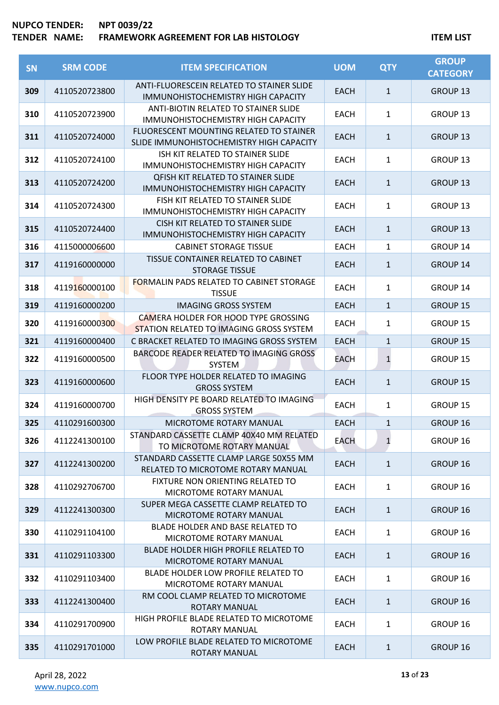| <b>SN</b> | <b>SRM CODE</b> | <b>ITEM SPECIFICATION</b>                                                                     | <b>UOM</b>  | <b>QTY</b>   | <b>GROUP</b><br><b>CATEGORY</b> |
|-----------|-----------------|-----------------------------------------------------------------------------------------------|-------------|--------------|---------------------------------|
| 309       | 4110520723800   | ANTI-FLUORESCEIN RELATED TO STAINER SLIDE<br>IMMUNOHISTOCHEMISTRY HIGH CAPACITY               | <b>EACH</b> | 1            | GROUP <sub>13</sub>             |
| 310       | 4110520723900   | ANTI-BIOTIN RELATED TO STAINER SLIDE<br><b>IMMUNOHISTOCHEMISTRY HIGH CAPACITY</b>             | <b>EACH</b> | $\mathbf{1}$ | <b>GROUP 13</b>                 |
| 311       | 4110520724000   | FLUORESCENT MOUNTING RELATED TO STAINER<br>SLIDE IMMUNOHISTOCHEMISTRY HIGH CAPACITY           | <b>EACH</b> | $\mathbf{1}$ | <b>GROUP 13</b>                 |
| 312       | 4110520724100   | ISH KIT RELATED TO STAINER SLIDE<br><b>IMMUNOHISTOCHEMISTRY HIGH CAPACITY</b>                 | <b>EACH</b> | $\mathbf{1}$ | GROUP 13                        |
| 313       | 4110520724200   | <b>QFISH KIT RELATED TO STAINER SLIDE</b><br>IMMUNOHISTOCHEMISTRY HIGH CAPACITY               | <b>EACH</b> | $\mathbf{1}$ | <b>GROUP 13</b>                 |
| 314       | 4110520724300   | FISH KIT RELATED TO STAINER SLIDE<br>IMMUNOHISTOCHEMISTRY HIGH CAPACITY                       | <b>EACH</b> | $\mathbf{1}$ | <b>GROUP 13</b>                 |
| 315       | 4110520724400   | CISH KIT RELATED TO STAINER SLIDE<br>IMMUNOHISTOCHEMISTRY HIGH CAPACITY                       | <b>EACH</b> | $\mathbf{1}$ | <b>GROUP 13</b>                 |
| 316       | 4115000006600   | <b>CABINET STORAGE TISSUE</b>                                                                 | <b>EACH</b> | 1            | <b>GROUP 14</b>                 |
| 317       | 4119160000000   | TISSUE CONTAINER RELATED TO CABINET<br><b>STORAGE TISSUE</b>                                  | <b>EACH</b> | $\mathbf{1}$ | <b>GROUP 14</b>                 |
| 318       | 4119160000100   | <b>FORMALIN PADS RELATED TO CABINET STORAGE</b><br><b>TISSUE</b>                              | <b>EACH</b> | $\mathbf{1}$ | <b>GROUP 14</b>                 |
| 319       | 4119160000200   | <b>IMAGING GROSS SYSTEM</b>                                                                   | <b>EACH</b> | $\mathbf{1}$ | <b>GROUP 15</b>                 |
| 320       | 4119160000300   | <b>CAMERA HOLDER FOR HOOD TYPE GROSSING</b><br><b>STATION RELATED TO IMAGING GROSS SYSTEM</b> | <b>EACH</b> | $\mathbf{1}$ | <b>GROUP 15</b>                 |
| 321       | 4119160000400   | C BRACKET RELATED TO IMAGING GROSS SYSTEM                                                     | <b>EACH</b> | $\mathbf{1}$ | <b>GROUP 15</b>                 |
| 322       | 4119160000500   | BARCODE READER RELATED TO IMAGING GROSS<br>SYSTEM                                             | EACH        | $\mathbf{1}$ | <b>GROUP 15</b>                 |
| 323       | 4119160000600   | FLOOR TYPE HOLDER RELATED TO IMAGING<br><b>GROSS SYSTEM</b>                                   | <b>EACH</b> | $\mathbf{1}$ | <b>GROUP 15</b>                 |
| 324       | 4119160000700   | HIGH DENSITY PE BOARD RELATED TO IMAGING<br><b>GROSS SYSTEM</b>                               | <b>EACH</b> | $\mathbf{1}$ | <b>GROUP 15</b>                 |
| 325       | 4110291600300   | MICROTOME ROTARY MANUAL                                                                       | <b>EACH</b> | $\mathbf{1}$ | <b>GROUP 16</b>                 |
| 326       | 4112241300100   | STANDARD CASSETTE CLAMP 40X40 MM RELATED<br>TO MICROTOME ROTARY MANUAL                        | <b>EACH</b> | $\mathbf{1}$ | GROUP 16                        |
| 327       | 4112241300200   | STANDARD CASSETTE CLAMP LARGE 50X55 MM<br>RELATED TO MICROTOME ROTARY MANUAL                  | <b>EACH</b> | $\mathbf{1}$ | <b>GROUP 16</b>                 |
| 328       | 4110292706700   | FIXTURE NON ORIENTING RELATED TO<br>MICROTOME ROTARY MANUAL                                   | <b>EACH</b> | $\mathbf{1}$ | GROUP 16                        |
| 329       | 4112241300300   | SUPER MEGA CASSETTE CLAMP RELATED TO<br>MICROTOME ROTARY MANUAL                               | <b>EACH</b> | $\mathbf{1}$ | GROUP 16                        |
| 330       | 4110291104100   | BLADE HOLDER AND BASE RELATED TO<br>MICROTOME ROTARY MANUAL                                   | <b>EACH</b> | $\mathbf{1}$ | GROUP 16                        |
| 331       | 4110291103300   | BLADE HOLDER HIGH PROFILE RELATED TO<br>MICROTOME ROTARY MANUAL                               | <b>EACH</b> | $\mathbf{1}$ | GROUP 16                        |
| 332       | 4110291103400   | BLADE HOLDER LOW PROFILE RELATED TO<br>MICROTOME ROTARY MANUAL                                | EACH        | $\mathbf{1}$ | <b>GROUP 16</b>                 |
| 333       | 4112241300400   | RM COOL CLAMP RELATED TO MICROTOME<br>ROTARY MANUAL                                           | <b>EACH</b> | $\mathbf{1}$ | <b>GROUP 16</b>                 |
| 334       | 4110291700900   | HIGH PROFILE BLADE RELATED TO MICROTOME<br><b>ROTARY MANUAL</b>                               | <b>EACH</b> | $\mathbf{1}$ | GROUP 16                        |
| 335       | 4110291701000   | LOW PROFILE BLADE RELATED TO MICROTOME<br>ROTARY MANUAL                                       | <b>EACH</b> | $\mathbf{1}$ | GROUP 16                        |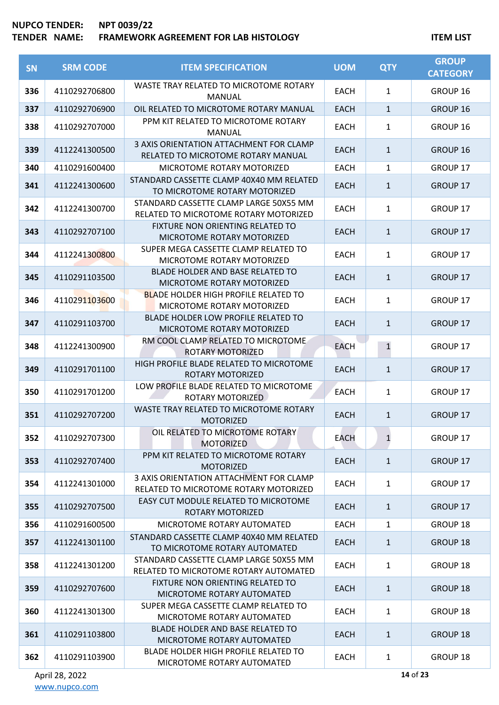### **TENDER NAME: FRAMEWORK AGREEMENT FOR LAB HISTOLOGY ITEM LIST**

| <b>SN</b> | <b>SRM CODE</b> | <b>ITEM SPECIFICATION</b>                                                        | <b>UOM</b>  | <b>QTY</b>   | <b>GROUP</b><br><b>CATEGORY</b> |
|-----------|-----------------|----------------------------------------------------------------------------------|-------------|--------------|---------------------------------|
| 336       | 4110292706800   | WASTE TRAY RELATED TO MICROTOME ROTARY<br>MANUAL                                 | <b>EACH</b> | $\mathbf{1}$ | GROUP 16                        |
| 337       | 4110292706900   | OIL RELATED TO MICROTOME ROTARY MANUAL                                           | <b>EACH</b> | $\mathbf{1}$ | GROUP 16                        |
| 338       | 4110292707000   | PPM KIT RELATED TO MICROTOME ROTARY<br><b>MANUAL</b>                             | <b>EACH</b> | 1            | GROUP 16                        |
| 339       | 4112241300500   | 3 AXIS ORIENTATION ATTACHMENT FOR CLAMP<br>RELATED TO MICROTOME ROTARY MANUAL    | <b>EACH</b> | $\mathbf{1}$ | <b>GROUP 16</b>                 |
| 340       | 4110291600400   | MICROTOME ROTARY MOTORIZED                                                       | <b>EACH</b> | 1            | <b>GROUP 17</b>                 |
| 341       | 4112241300600   | STANDARD CASSETTE CLAMP 40X40 MM RELATED<br>TO MICROTOME ROTARY MOTORIZED        | <b>EACH</b> | $\mathbf{1}$ | <b>GROUP 17</b>                 |
| 342       | 4112241300700   | STANDARD CASSETTE CLAMP LARGE 50X55 MM<br>RELATED TO MICROTOME ROTARY MOTORIZED  | <b>EACH</b> | 1            | <b>GROUP 17</b>                 |
| 343       | 4110292707100   | FIXTURE NON ORIENTING RELATED TO<br>MICROTOME ROTARY MOTORIZED                   | <b>EACH</b> | $\mathbf{1}$ | <b>GROUP 17</b>                 |
| 344       | 4112241300800   | SUPER MEGA CASSETTE CLAMP RELATED TO<br>MICROTOME ROTARY MOTORIZED               | <b>EACH</b> | 1            | <b>GROUP 17</b>                 |
| 345       | 4110291103500   | BLADE HOLDER AND BASE RELATED TO<br>MICROTOME ROTARY MOTORIZED                   | <b>EACH</b> | $\mathbf{1}$ | <b>GROUP 17</b>                 |
| 346       | 4110291103600   | <b>BLADE HOLDER HIGH PROFILE RELATED TO</b><br>MICROTOME ROTARY MOTORIZED        | <b>EACH</b> | $\mathbf{1}$ | GROUP 17                        |
| 347       | 4110291103700   | BLADE HOLDER LOW PROFILE RELATED TO<br>MICROTOME ROTARY MOTORIZED                | <b>EACH</b> | $\mathbf{1}$ | <b>GROUP 17</b>                 |
| 348       | 4112241300900   | RM COOL CLAMP RELATED TO MICROTOME<br><b>ROTARY MOTORIZED</b>                    | <b>EACH</b> | $\mathbf{1}$ | <b>GROUP 17</b>                 |
| 349       | 4110291701100   | HIGH PROFILE BLADE RELATED TO MICROTOME<br>ROTARY MOTORIZED                      | <b>EACH</b> | $\mathbf{1}$ | <b>GROUP 17</b>                 |
| 350       | 4110291701200   | LOW PROFILE BLADE RELATED TO MICROTOME<br>ROTARY MOTORIZED                       | <b>EACH</b> | $\mathbf{1}$ | <b>GROUP 17</b>                 |
| 351       | 4110292707200   | WASTE TRAY RELATED TO MICROTOME ROTARY<br><b>MOTORIZED</b>                       | <b>EACH</b> | $\mathbf{1}$ | <b>GROUP 17</b>                 |
| 352       | 4110292707300   | OIL RELATED TO MICROTOME ROTARY<br><b>MOTORIZED</b>                              | <b>EACH</b> | $\mathbf{1}$ | GROUP 17                        |
| 353       | 4110292707400   | PPM KIT RELATED TO MICROTOME ROTARY<br><b>MOTORIZED</b>                          | <b>EACH</b> | $\mathbf{1}$ | <b>GROUP 17</b>                 |
| 354       | 4112241301000   | 3 AXIS ORIENTATION ATTACHMENT FOR CLAMP<br>RELATED TO MICROTOME ROTARY MOTORIZED | <b>EACH</b> | $\mathbf{1}$ | <b>GROUP 17</b>                 |
| 355       | 4110292707500   | EASY CUT MODULE RELATED TO MICROTOME<br>ROTARY MOTORIZED                         | <b>EACH</b> | $\mathbf{1}$ | <b>GROUP 17</b>                 |
| 356       | 4110291600500   | MICROTOME ROTARY AUTOMATED                                                       | <b>EACH</b> | $\mathbf{1}$ | <b>GROUP 18</b>                 |
| 357       | 4112241301100   | STANDARD CASSETTE CLAMP 40X40 MM RELATED<br>TO MICROTOME ROTARY AUTOMATED        | <b>EACH</b> | $\mathbf{1}$ | <b>GROUP 18</b>                 |
| 358       | 4112241301200   | STANDARD CASSETTE CLAMP LARGE 50X55 MM<br>RELATED TO MICROTOME ROTARY AUTOMATED  | <b>EACH</b> | $\mathbf{1}$ | GROUP 18                        |
| 359       | 4110292707600   | FIXTURE NON ORIENTING RELATED TO<br>MICROTOME ROTARY AUTOMATED                   | <b>EACH</b> | $\mathbf{1}$ | <b>GROUP 18</b>                 |
| 360       | 4112241301300   | SUPER MEGA CASSETTE CLAMP RELATED TO<br>MICROTOME ROTARY AUTOMATED               | <b>EACH</b> | $\mathbf{1}$ | GROUP 18                        |
| 361       | 4110291103800   | BLADE HOLDER AND BASE RELATED TO<br>MICROTOME ROTARY AUTOMATED                   | <b>EACH</b> | $\mathbf{1}$ | <b>GROUP 18</b>                 |
| 362       | 4110291103900   | BLADE HOLDER HIGH PROFILE RELATED TO<br>MICROTOME ROTARY AUTOMATED               | <b>EACH</b> | $\mathbf{1}$ | GROUP 18                        |

**14** of **23**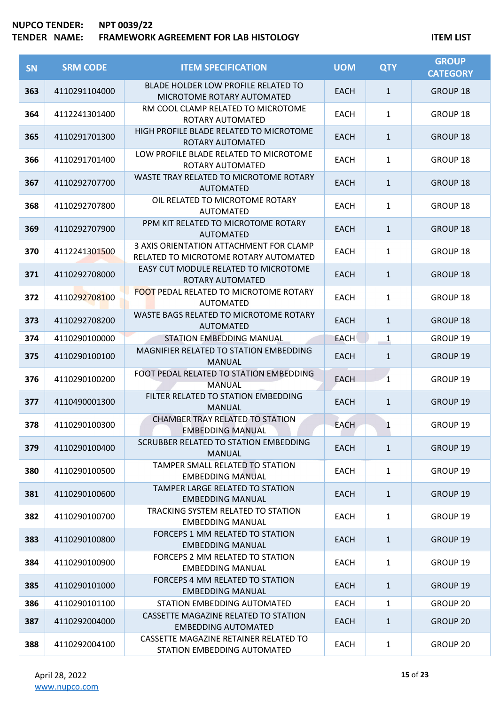| <b>SN</b> | <b>SRM CODE</b> | <b>ITEM SPECIFICATION</b>                                                        | <b>UOM</b>  | <b>QTY</b>   | <b>GROUP</b><br><b>CATEGORY</b> |
|-----------|-----------------|----------------------------------------------------------------------------------|-------------|--------------|---------------------------------|
| 363       | 4110291104000   | <b>BLADE HOLDER LOW PROFILE RELATED TO</b><br>MICROTOME ROTARY AUTOMATED         | <b>EACH</b> | $\mathbf{1}$ | <b>GROUP 18</b>                 |
| 364       | 4112241301400   | RM COOL CLAMP RELATED TO MICROTOME<br>ROTARY AUTOMATED                           | <b>EACH</b> | $\mathbf{1}$ | GROUP 18                        |
| 365       | 4110291701300   | HIGH PROFILE BLADE RELATED TO MICROTOME<br>ROTARY AUTOMATED                      | <b>EACH</b> | $\mathbf{1}$ | <b>GROUP 18</b>                 |
| 366       | 4110291701400   | LOW PROFILE BLADE RELATED TO MICROTOME<br>ROTARY AUTOMATED                       | <b>EACH</b> | $\mathbf{1}$ | GROUP 18                        |
| 367       | 4110292707700   | WASTE TRAY RELATED TO MICROTOME ROTARY<br><b>AUTOMATED</b>                       | <b>EACH</b> | $\mathbf{1}$ | <b>GROUP 18</b>                 |
| 368       | 4110292707800   | OIL RELATED TO MICROTOME ROTARY<br><b>AUTOMATED</b>                              | <b>EACH</b> | $\mathbf{1}$ | <b>GROUP 18</b>                 |
| 369       | 4110292707900   | PPM KIT RELATED TO MICROTOME ROTARY<br><b>AUTOMATED</b>                          | <b>EACH</b> | $\mathbf{1}$ | <b>GROUP 18</b>                 |
| 370       | 4112241301500   | 3 AXIS ORIENTATION ATTACHMENT FOR CLAMP<br>RELATED TO MICROTOME ROTARY AUTOMATED | <b>EACH</b> | $\mathbf{1}$ | <b>GROUP 18</b>                 |
| 371       | 4110292708000   | EASY CUT MODULE RELATED TO MICROTOME<br>ROTARY AUTOMATED                         | <b>EACH</b> | $\mathbf{1}$ | <b>GROUP 18</b>                 |
| 372       | 4110292708100   | <b>FOOT PEDAL RELATED TO MICROTOME ROTARY</b><br><b>AUTOMATED</b>                | <b>EACH</b> | $\mathbf{1}$ | <b>GROUP 18</b>                 |
| 373       | 4110292708200   | WASTE BAGS RELATED TO MICROTOME ROTARY<br><b>AUTOMATED</b>                       | <b>EACH</b> | $\mathbf{1}$ | <b>GROUP 18</b>                 |
| 374       | 4110290100000   | <b>STATION EMBEDDING MANUAL</b>                                                  | <b>EACH</b> | 1            | GROUP 19                        |
| 375       | 4110290100100   | MAGNIFIER RELATED TO STATION EMBEDDING<br><b>MANUAL</b>                          | <b>EACH</b> | $\mathbf{1}$ | GROUP 19                        |
| 376       | 4110290100200   | FOOT PEDAL RELATED TO STATION EMBEDDING<br><b>MANUAL</b>                         | <b>EACH</b> | $\mathbf{1}$ | GROUP 19                        |
| 377       | 4110490001300   | FILTER RELATED TO STATION EMBEDDING<br><b>MANUAL</b>                             | <b>EACH</b> | $\mathbf{1}$ | GROUP 19                        |
| 378       | 4110290100300   | <b>CHAMBER TRAY RELATED TO STATION</b><br><b>EMBEDDING MANUAL</b>                | <b>EACH</b> | 1            | <b>GROUP 19</b>                 |
| 379       | 4110290100400   | SCRUBBER RELATED TO STATION EMBEDDING<br><b>MANUAL</b>                           | <b>EACH</b> | $\mathbf{1}$ | <b>GROUP 19</b>                 |
| 380       | 4110290100500   | TAMPER SMALL RELATED TO STATION<br><b>EMBEDDING MANUAL</b>                       | <b>EACH</b> | $\mathbf{1}$ | GROUP 19                        |
| 381       | 4110290100600   | <b>TAMPER LARGE RELATED TO STATION</b><br><b>EMBEDDING MANUAL</b>                | <b>EACH</b> | $\mathbf{1}$ | <b>GROUP 19</b>                 |
| 382       | 4110290100700   | TRACKING SYSTEM RELATED TO STATION<br><b>EMBEDDING MANUAL</b>                    | <b>EACH</b> | $\mathbf{1}$ | GROUP 19                        |
| 383       | 4110290100800   | <b>FORCEPS 1 MM RELATED TO STATION</b><br><b>EMBEDDING MANUAL</b>                | <b>EACH</b> | $\mathbf{1}$ | GROUP 19                        |
| 384       | 4110290100900   | FORCEPS 2 MM RELATED TO STATION<br><b>EMBEDDING MANUAL</b>                       | <b>EACH</b> | $\mathbf{1}$ | GROUP 19                        |
| 385       | 4110290101000   | FORCEPS 4 MM RELATED TO STATION<br><b>EMBEDDING MANUAL</b>                       | <b>EACH</b> | $\mathbf{1}$ | <b>GROUP 19</b>                 |
| 386       | 4110290101100   | STATION EMBEDDING AUTOMATED                                                      | <b>EACH</b> | $\mathbf{1}$ | <b>GROUP 20</b>                 |
| 387       | 4110292004000   | CASSETTE MAGAZINE RELATED TO STATION<br><b>EMBEDDING AUTOMATED</b>               | <b>EACH</b> | $\mathbf{1}$ | GROUP 20                        |
| 388       | 4110292004100   | CASSETTE MAGAZINE RETAINER RELATED TO<br>STATION EMBEDDING AUTOMATED             | EACH        | $\mathbf{1}$ | GROUP 20                        |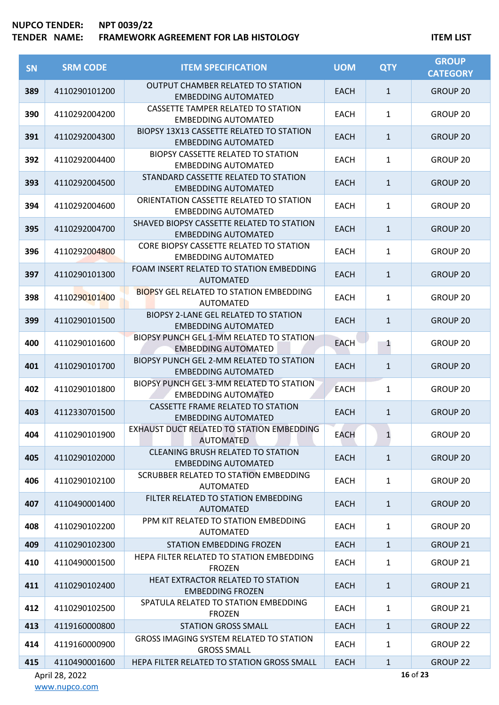# **TENDER NAME: FRAMEWORK AGREEMENT FOR LAB HISTOLOGY ITEM LIST**

| SN  | <b>SRM CODE</b> | <b>ITEM SPECIFICATION</b>                                                 | <b>UOM</b>  | <b>QTY</b>   | <b>GROUP</b><br><b>CATEGORY</b> |
|-----|-----------------|---------------------------------------------------------------------------|-------------|--------------|---------------------------------|
| 389 | 4110290101200   | <b>OUTPUT CHAMBER RELATED TO STATION</b><br><b>EMBEDDING AUTOMATED</b>    | <b>EACH</b> | $\mathbf{1}$ | <b>GROUP 20</b>                 |
| 390 | 4110292004200   | CASSETTE TAMPER RELATED TO STATION<br><b>EMBEDDING AUTOMATED</b>          | <b>EACH</b> | $\mathbf{1}$ | GROUP 20                        |
| 391 | 4110292004300   | BIOPSY 13X13 CASSETTE RELATED TO STATION<br><b>EMBEDDING AUTOMATED</b>    | <b>EACH</b> | $\mathbf{1}$ | <b>GROUP 20</b>                 |
| 392 | 4110292004400   | BIOPSY CASSETTE RELATED TO STATION<br><b>EMBEDDING AUTOMATED</b>          | <b>EACH</b> | $\mathbf{1}$ | GROUP 20                        |
| 393 | 4110292004500   | STANDARD CASSETTE RELATED TO STATION<br><b>EMBEDDING AUTOMATED</b>        | <b>EACH</b> | $\mathbf{1}$ | <b>GROUP 20</b>                 |
| 394 | 4110292004600   | ORIENTATION CASSETTE RELATED TO STATION<br><b>EMBEDDING AUTOMATED</b>     | <b>EACH</b> | $\mathbf{1}$ | GROUP 20                        |
| 395 | 4110292004700   | SHAVED BIOPSY CASSETTE RELATED TO STATION<br><b>EMBEDDING AUTOMATED</b>   | <b>EACH</b> | $\mathbf{1}$ | <b>GROUP 20</b>                 |
| 396 | 4110292004800   | CORE BIOPSY CASSETTE RELATED TO STATION<br><b>EMBEDDING AUTOMATED</b>     | <b>EACH</b> | $\mathbf{1}$ | GROUP 20                        |
| 397 | 4110290101300   | FOAM INSERT RELATED TO STATION EMBEDDING<br><b>AUTOMATED</b>              | <b>EACH</b> | $\mathbf{1}$ | <b>GROUP 20</b>                 |
| 398 | 4110290101400   | <b>BIOPSY GEL RELATED TO STATION EMBEDDING</b><br><b>AUTOMATED</b>        | <b>EACH</b> | $\mathbf{1}$ | <b>GROUP 20</b>                 |
| 399 | 4110290101500   | <b>BIOPSY 2-LANE GEL RELATED TO STATION</b><br><b>EMBEDDING AUTOMATED</b> | <b>EACH</b> | $\mathbf{1}$ | <b>GROUP 20</b>                 |
| 400 | 4110290101600   | BIOPSY PUNCH GEL 1-MM RELATED TO STATION<br><b>EMBEDDING AUTOMATED</b>    | <b>EACH</b> | 1            | <b>GROUP 20</b>                 |
| 401 | 4110290101700   | BIOPSY PUNCH GEL 2-MM RELATED TO STATION<br><b>EMBEDDING AUTOMATED</b>    | <b>EACH</b> | $\mathbf{1}$ | <b>GROUP 20</b>                 |
| 402 | 4110290101800   | BIOPSY PUNCH GEL 3-MM RELATED TO STATION<br><b>EMBEDDING AUTOMATED</b>    | <b>EACH</b> | $\mathbf{1}$ | GROUP 20                        |
| 403 | 4112330701500   | <b>CASSETTE FRAME RELATED TO STATION</b><br><b>EMBEDDING AUTOMATED</b>    | <b>EACH</b> | $\mathbf{1}$ | <b>GROUP 20</b>                 |
| 404 | 4110290101900   | EXHAUST DUCT RELATED TO STATION EMBEDDING<br><b>AUTOMATED</b>             | <b>EACH</b> | $\mathbf{1}$ | GROUP <sub>20</sub>             |
| 405 | 4110290102000   | <b>CLEANING BRUSH RELATED TO STATION</b><br><b>EMBEDDING AUTOMATED</b>    | <b>EACH</b> | $\mathbf{1}$ | <b>GROUP 20</b>                 |
| 406 | 4110290102100   | SCRUBBER RELATED TO STATION EMBEDDING<br><b>AUTOMATED</b>                 | <b>EACH</b> | $\mathbf{1}$ | GROUP 20                        |
| 407 | 4110490001400   | FILTER RELATED TO STATION EMBEDDING<br><b>AUTOMATED</b>                   | <b>EACH</b> | $\mathbf{1}$ | <b>GROUP 20</b>                 |
| 408 | 4110290102200   | PPM KIT RELATED TO STATION EMBEDDING<br><b>AUTOMATED</b>                  | <b>EACH</b> | 1            | GROUP 20                        |
| 409 | 4110290102300   | <b>STATION EMBEDDING FROZEN</b>                                           | <b>EACH</b> | $\mathbf{1}$ | <b>GROUP 21</b>                 |
| 410 | 4110490001500   | HEPA FILTER RELATED TO STATION EMBEDDING<br><b>FROZEN</b>                 | <b>EACH</b> | $\mathbf{1}$ | GROUP 21                        |
| 411 | 4110290102400   | HEAT EXTRACTOR RELATED TO STATION<br><b>EMBEDDING FROZEN</b>              | <b>EACH</b> | $\mathbf{1}$ | GROUP 21                        |
| 412 | 4110290102500   | SPATULA RELATED TO STATION EMBEDDING<br><b>FROZEN</b>                     | <b>EACH</b> | $\mathbf{1}$ | GROUP 21                        |
| 413 | 4119160000800   | <b>STATION GROSS SMALL</b>                                                | <b>EACH</b> | $\mathbf{1}$ | <b>GROUP 22</b>                 |
| 414 | 4119160000900   | <b>GROSS IMAGING SYSTEM RELATED TO STATION</b><br><b>GROSS SMALL</b>      | <b>EACH</b> | $\mathbf{1}$ | <b>GROUP 22</b>                 |
| 415 | 4110490001600   | HEPA FILTER RELATED TO STATION GROSS SMALL                                | <b>EACH</b> | $\mathbf{1}$ | <b>GROUP 22</b>                 |
|     | April 28, 2022  |                                                                           |             |              | 16 of 23                        |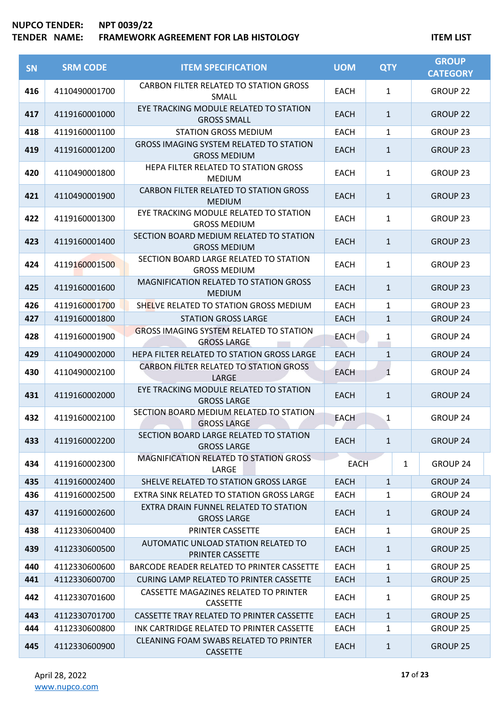| <b>SN</b> | <b>SRM CODE</b> | <b>ITEM SPECIFICATION</b>                                             | <b>UOM</b>  | <b>QTY</b>   | <b>GROUP</b><br><b>CATEGORY</b> |
|-----------|-----------------|-----------------------------------------------------------------------|-------------|--------------|---------------------------------|
| 416       | 4110490001700   | CARBON FILTER RELATED TO STATION GROSS<br>SMALL                       | EACH        | $\mathbf{1}$ | <b>GROUP 22</b>                 |
| 417       | 4119160001000   | EYE TRACKING MODULE RELATED TO STATION<br><b>GROSS SMALL</b>          | <b>EACH</b> | $\mathbf{1}$ | <b>GROUP 22</b>                 |
| 418       | 4119160001100   | <b>STATION GROSS MEDIUM</b>                                           | <b>EACH</b> | 1            | <b>GROUP 23</b>                 |
| 419       | 4119160001200   | <b>GROSS IMAGING SYSTEM RELATED TO STATION</b><br><b>GROSS MEDIUM</b> | <b>EACH</b> | $\mathbf{1}$ | <b>GROUP 23</b>                 |
| 420       | 4110490001800   | HEPA FILTER RELATED TO STATION GROSS<br><b>MEDIUM</b>                 | <b>EACH</b> | $\mathbf{1}$ | <b>GROUP 23</b>                 |
| 421       | 4110490001900   | CARBON FILTER RELATED TO STATION GROSS<br><b>MEDIUM</b>               | <b>EACH</b> | $\mathbf{1}$ | <b>GROUP 23</b>                 |
| 422       | 4119160001300   | EYE TRACKING MODULE RELATED TO STATION<br><b>GROSS MEDIUM</b>         | <b>EACH</b> | $\mathbf{1}$ | GROUP <sub>23</sub>             |
| 423       | 4119160001400   | SECTION BOARD MEDIUM RELATED TO STATION<br><b>GROSS MEDIUM</b>        | <b>EACH</b> | $\mathbf{1}$ | <b>GROUP 23</b>                 |
| 424       | 4119160001500   | SECTION BOARD LARGE RELATED TO STATION<br><b>GROSS MEDIUM</b>         | <b>EACH</b> | $\mathbf{1}$ | GROUP 23                        |
| 425       | 4119160001600   | <b>MAGNIFICATION RELATED TO STATION GROSS</b><br><b>MEDIUM</b>        | <b>EACH</b> | $\mathbf{1}$ | <b>GROUP 23</b>                 |
| 426       | 4119160001700   | SHELVE RELATED TO STATION GROSS MEDIUM                                | <b>EACH</b> | $\mathbf{1}$ | GROUP 23                        |
| 427       | 4119160001800   | <b>STATION GROSS LARGE</b>                                            | <b>EACH</b> | $\mathbf{1}$ | <b>GROUP 24</b>                 |
| 428       | 4119160001900   | <b>GROSS IMAGING SYSTEM RELATED TO STATION</b><br><b>GROSS LARGE</b>  | <b>EACH</b> | 1<br>Ħ       | GROUP 24                        |
| 429       | 4110490002000   | HEPA FILTER RELATED TO STATION GROSS LARGE                            | <b>EACH</b> | $\mathbf{1}$ | <b>GROUP 24</b>                 |
| 430       | 4110490002100   | CARBON FILTER RELATED TO STATION GROSS<br>LARGE                       | <b>EACH</b> | $\mathbf{1}$ | <b>GROUP 24</b>                 |
| 431       | 4119160002000   | EYE TRACKING MODULE RELATED TO STATION<br><b>GROSS LARGE</b>          | <b>EACH</b> | $\mathbf{1}$ | <b>GROUP 24</b>                 |
| 432       | 4119160002100   | SECTION BOARD MEDIUM RELATED TO STATION<br><b>GROSS LARGE</b>         | <b>EACH</b> | 1            | <b>GROUP 24</b>                 |
| 433       | 4119160002200   | SECTION BOARD LARGE RELATED TO STATION<br><b>GROSS LARGE</b>          | <b>EACH</b> | $\mathbf{1}$ | GROUP 24                        |
| 434       | 4119160002300   | MAGNIFICATION RELATED TO STATION GROSS<br>LARGE                       | <b>EACH</b> | $\mathbf{1}$ | <b>GROUP 24</b>                 |
| 435       | 4119160002400   | SHELVE RELATED TO STATION GROSS LARGE                                 | <b>EACH</b> | $\mathbf{1}$ | <b>GROUP 24</b>                 |
| 436       | 4119160002500   | EXTRA SINK RELATED TO STATION GROSS LARGE                             | <b>EACH</b> | 1            | GROUP 24                        |
| 437       | 4119160002600   | EXTRA DRAIN FUNNEL RELATED TO STATION<br><b>GROSS LARGE</b>           | <b>EACH</b> | $\mathbf{1}$ | <b>GROUP 24</b>                 |
| 438       | 4112330600400   | PRINTER CASSETTE                                                      | <b>EACH</b> | $\mathbf{1}$ | GROUP 25                        |
| 439       | 4112330600500   | AUTOMATIC UNLOAD STATION RELATED TO<br>PRINTER CASSETTE               | <b>EACH</b> | $\mathbf{1}$ | <b>GROUP 25</b>                 |
| 440       | 4112330600600   | BARCODE READER RELATED TO PRINTER CASSETTE                            | <b>EACH</b> | $\mathbf{1}$ | GROUP 25                        |
| 441       | 4112330600700   | <b>CURING LAMP RELATED TO PRINTER CASSETTE</b>                        | <b>EACH</b> | $\mathbf{1}$ | <b>GROUP 25</b>                 |
| 442       | 4112330701600   | CASSETTE MAGAZINES RELATED TO PRINTER<br>CASSETTE                     | <b>EACH</b> | $\mathbf{1}$ | GROUP 25                        |
| 443       | 4112330701700   | CASSETTE TRAY RELATED TO PRINTER CASSETTE                             | <b>EACH</b> | $\mathbf{1}$ | <b>GROUP 25</b>                 |
| 444       | 4112330600800   | INK CARTRIDGE RELATED TO PRINTER CASSETTE                             | <b>EACH</b> | $\mathbf{1}$ | GROUP 25                        |
| 445       | 4112330600900   | CLEANING FOAM SWABS RELATED TO PRINTER<br><b>CASSETTE</b>             | <b>EACH</b> | $\mathbf{1}$ | <b>GROUP 25</b>                 |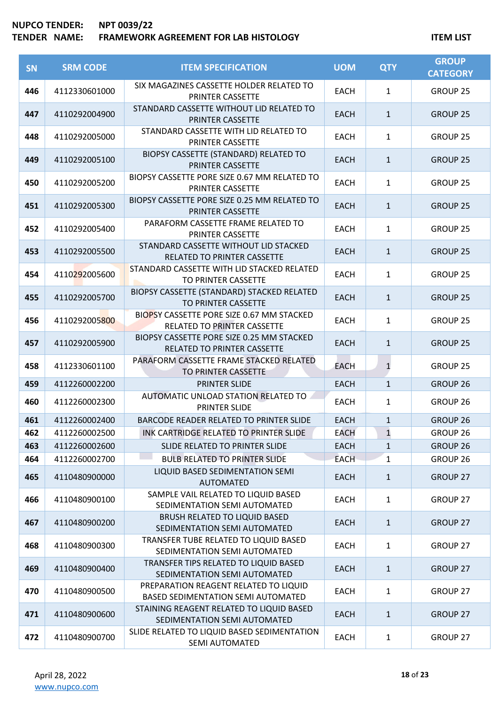| SN  | <b>SRM CODE</b> | <b>ITEM SPECIFICATION</b>                                                          | <b>UOM</b>  | <b>QTY</b>     | <b>GROUP</b><br><b>CATEGORY</b> |
|-----|-----------------|------------------------------------------------------------------------------------|-------------|----------------|---------------------------------|
| 446 | 4112330601000   | SIX MAGAZINES CASSETTE HOLDER RELATED TO<br>PRINTER CASSETTE                       | <b>EACH</b> | $\mathbf{1}$   | <b>GROUP 25</b>                 |
| 447 | 4110292004900   | STANDARD CASSETTE WITHOUT LID RELATED TO<br>PRINTER CASSETTE                       | <b>EACH</b> | $\mathbf{1}$   | <b>GROUP 25</b>                 |
| 448 | 4110292005000   | STANDARD CASSETTE WITH LID RELATED TO<br>PRINTER CASSETTE                          | <b>EACH</b> | $\mathbf{1}$   | <b>GROUP 25</b>                 |
| 449 | 4110292005100   | BIOPSY CASSETTE (STANDARD) RELATED TO<br>PRINTER CASSETTE                          | <b>EACH</b> | $\mathbf{1}$   | <b>GROUP 25</b>                 |
| 450 | 4110292005200   | BIOPSY CASSETTE PORE SIZE 0.67 MM RELATED TO<br>PRINTER CASSETTE                   | <b>EACH</b> | $\mathbf{1}$   | <b>GROUP 25</b>                 |
| 451 | 4110292005300   | BIOPSY CASSETTE PORE SIZE 0.25 MM RELATED TO<br>PRINTER CASSETTE                   | <b>EACH</b> | $\mathbf{1}$   | <b>GROUP 25</b>                 |
| 452 | 4110292005400   | PARAFORM CASSETTE FRAME RELATED TO<br>PRINTER CASSETTE                             | <b>EACH</b> | $\mathbf{1}$   | <b>GROUP 25</b>                 |
| 453 | 4110292005500   | STANDARD CASSETTE WITHOUT LID STACKED<br>RELATED TO PRINTER CASSETTE               | <b>EACH</b> | $\mathbf{1}$   | <b>GROUP 25</b>                 |
| 454 | 4110292005600   | STANDARD CASSETTE WITH LID STACKED RELATED<br>TO PRINTER CASSETTE                  | <b>EACH</b> | 1              | <b>GROUP 25</b>                 |
| 455 | 4110292005700   | BIOPSY CASSETTE (STANDARD) STACKED RELATED<br>TO PRINTER CASSETTE                  | <b>EACH</b> | $\mathbf{1}$   | <b>GROUP 25</b>                 |
| 456 | 4110292005800   | BIOPSY CASSETTE PORE SIZE 0.67 MM STACKED<br>RELATED TO PRINTER CASSETTE           | <b>EACH</b> | $\mathbf{1}$   | <b>GROUP 25</b>                 |
| 457 | 4110292005900   | BIOPSY CASSETTE PORE SIZE 0.25 MM STACKED<br>RELATED TO PRINTER CASSETTE           | <b>EACH</b> | $\mathbf{1}$   | <b>GROUP 25</b>                 |
| 458 | 4112330601100   | PARAFORM CASSETTE FRAME STACKED RELATED<br>TO PRINTER CASSETTE                     | <b>EACH</b> | $\mathbf{1}$   | <b>GROUP 25</b>                 |
| 459 | 4112260002200   | <b>PRINTER SLIDE</b>                                                               | <b>EACH</b> | $\mathbf{1}$   | <b>GROUP 26</b>                 |
| 460 | 4112260002300   | AUTOMATIC UNLOAD STATION RELATED TO<br><b>PRINTER SLIDE</b>                        | <b>EACH</b> | $\mathbf{1}$   | GROUP <sub>26</sub>             |
| 461 | 4112260002400   | BARCODE READER RELATED TO PRINTER SLIDE                                            | <b>EACH</b> | $\mathbf{1}$   | GROUP <sub>26</sub>             |
| 462 | 4112260002500   | INK CARTRIDGE RELATED TO PRINTER SLIDE                                             | <b>EACH</b> | $\overline{1}$ | GROUP <sub>26</sub>             |
| 463 | 4112260002600   | SLIDE RELATED TO PRINTER SLIDE                                                     | <b>EACH</b> | $\mathbf{1}$   | GROUP 26                        |
| 464 | 4112260002700   | <b>BULB RELATED TO PRINTER SLIDE</b>                                               | <b>EACH</b> | 1              | GROUP 26                        |
| 465 | 4110480900000   | LIQUID BASED SEDIMENTATION SEMI<br><b>AUTOMATED</b>                                | <b>EACH</b> | $\mathbf{1}$   | <b>GROUP 27</b>                 |
| 466 | 4110480900100   | SAMPLE VAIL RELATED TO LIQUID BASED<br>SEDIMENTATION SEMI AUTOMATED                | EACH        | $\mathbf{1}$   | GROUP 27                        |
| 467 | 4110480900200   | <b>BRUSH RELATED TO LIQUID BASED</b><br>SEDIMENTATION SEMI AUTOMATED               | <b>EACH</b> | $\mathbf{1}$   | <b>GROUP 27</b>                 |
| 468 | 4110480900300   | TRANSFER TUBE RELATED TO LIQUID BASED<br>SEDIMENTATION SEMI AUTOMATED              | <b>EACH</b> | 1              | GROUP 27                        |
| 469 | 4110480900400   | TRANSFER TIPS RELATED TO LIQUID BASED<br>SEDIMENTATION SEMI AUTOMATED              | <b>EACH</b> | $\mathbf{1}$   | <b>GROUP 27</b>                 |
| 470 | 4110480900500   | PREPARATION REAGENT RELATED TO LIQUID<br><b>BASED SEDIMENTATION SEMI AUTOMATED</b> | <b>EACH</b> | 1              | GROUP 27                        |
| 471 | 4110480900600   | STAINING REAGENT RELATED TO LIQUID BASED<br>SEDIMENTATION SEMI AUTOMATED           | <b>EACH</b> | $\mathbf{1}$   | <b>GROUP 27</b>                 |
| 472 | 4110480900700   | SLIDE RELATED TO LIQUID BASED SEDIMENTATION<br>SEMI AUTOMATED                      | <b>EACH</b> | 1              | GROUP 27                        |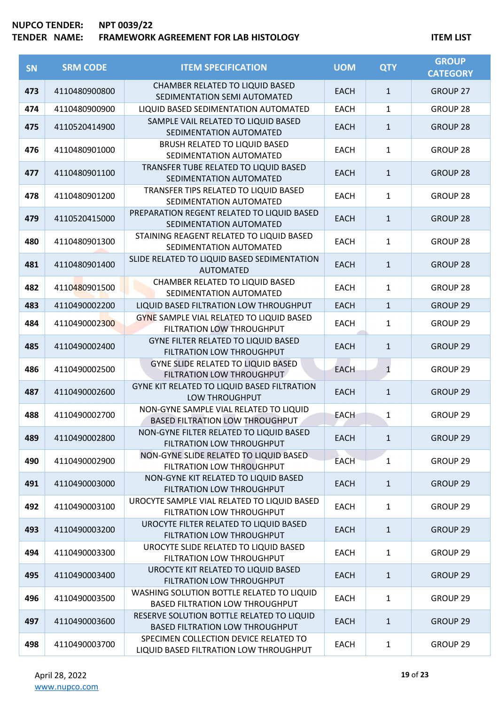| <b>SN</b> | <b>SRM CODE</b> | <b>ITEM SPECIFICATION</b>                                                           | <b>UOM</b>  | <b>QTY</b>   | <b>GROUP</b><br><b>CATEGORY</b> |
|-----------|-----------------|-------------------------------------------------------------------------------------|-------------|--------------|---------------------------------|
| 473       | 4110480900800   | CHAMBER RELATED TO LIQUID BASED<br>SEDIMENTATION SEMI AUTOMATED                     | <b>EACH</b> | $\mathbf{1}$ | <b>GROUP 27</b>                 |
| 474       | 4110480900900   | LIQUID BASED SEDIMENTATION AUTOMATED                                                | <b>EACH</b> | $\mathbf{1}$ | GROUP 28                        |
| 475       | 4110520414900   | SAMPLE VAIL RELATED TO LIQUID BASED<br>SEDIMENTATION AUTOMATED                      | <b>EACH</b> | $\mathbf{1}$ | <b>GROUP 28</b>                 |
| 476       | 4110480901000   | <b>BRUSH RELATED TO LIQUID BASED</b><br>SEDIMENTATION AUTOMATED                     | <b>EACH</b> | $\mathbf{1}$ | GROUP 28                        |
| 477       | 4110480901100   | TRANSFER TUBE RELATED TO LIQUID BASED<br>SEDIMENTATION AUTOMATED                    | <b>EACH</b> | $\mathbf{1}$ | <b>GROUP 28</b>                 |
| 478       | 4110480901200   | TRANSFER TIPS RELATED TO LIQUID BASED<br>SEDIMENTATION AUTOMATED                    | <b>EACH</b> | $\mathbf{1}$ | <b>GROUP 28</b>                 |
| 479       | 4110520415000   | PREPARATION REGENT RELATED TO LIQUID BASED<br>SEDIMENTATION AUTOMATED               | <b>EACH</b> | $\mathbf{1}$ | <b>GROUP 28</b>                 |
| 480       | 4110480901300   | STAINING REAGENT RELATED TO LIQUID BASED<br>SEDIMENTATION AUTOMATED                 | <b>EACH</b> | $\mathbf{1}$ | GROUP 28                        |
| 481       | 4110480901400   | SLIDE RELATED TO LIQUID BASED SEDIMENTATION<br><b>AUTOMATED</b>                     | <b>EACH</b> | $\mathbf{1}$ | <b>GROUP 28</b>                 |
| 482       | 4110480901500   | CHAMBER RELATED TO LIQUID BASED<br>SEDIMENTATION AUTOMATED                          | <b>EACH</b> | $\mathbf{1}$ | GROUP 28                        |
| 483       | 4110490002200   | LIQUID BASED FILTRATION LOW THROUGHPUT                                              | <b>EACH</b> | $\mathbf{1}$ | <b>GROUP 29</b>                 |
| 484       | 4110490002300   | GYNE SAMPLE VIAL RELATED TO LIQUID BASED<br>FILTRATION LOW THROUGHPUT               | <b>EACH</b> | $\mathbf{1}$ | <b>GROUP 29</b>                 |
| 485       | 4110490002400   | <b>GYNE FILTER RELATED TO LIQUID BASED</b><br>FILTRATION LOW THROUGHPUT             | <b>EACH</b> | $\mathbf{1}$ | <b>GROUP 29</b>                 |
| 486       | 4110490002500   | <b>GYNE SLIDE RELATED TO LIQUID BASED</b><br>FILTRATION LOW THROUGHPUT              | <b>EACH</b> | $\mathbf{1}$ | GROUP <sub>29</sub>             |
| 487       | 4110490002600   | GYNE KIT RELATED TO LIQUID BASED FILTRATION<br>LOW THROUGHPUT                       | <b>EACH</b> | $\mathbf{1}$ | GROUP <sub>29</sub>             |
| 488       | 4110490002700   | NON-GYNE SAMPLE VIAL RELATED TO LIQUID<br><b>BASED FILTRATION LOW THROUGHPUT</b>    | <b>EACH</b> | $\mathbf{1}$ | <b>GROUP 29</b>                 |
| 489       | 4110490002800   | NON-GYNE FILTER RELATED TO LIQUID BASED<br>FILTRATION LOW THROUGHPUT                | <b>EACH</b> | $\mathbf{1}$ | <b>GROUP 29</b>                 |
| 490       | 4110490002900   | NON-GYNE SLIDE RELATED TO LIQUID BASED<br>FILTRATION LOW THROUGHPUT                 | <b>EACH</b> | 1            | GROUP <sub>29</sub>             |
| 491       | 4110490003000   | NON-GYNE KIT RELATED TO LIQUID BASED<br>FILTRATION LOW THROUGHPUT                   | <b>EACH</b> | $\mathbf{1}$ | GROUP <sub>29</sub>             |
| 492       | 4110490003100   | UROCYTE SAMPLE VIAL RELATED TO LIQUID BASED<br>FILTRATION LOW THROUGHPUT            | <b>EACH</b> | $\mathbf{1}$ | GROUP <sub>29</sub>             |
| 493       | 4110490003200   | UROCYTE FILTER RELATED TO LIQUID BASED<br>FILTRATION LOW THROUGHPUT                 | <b>EACH</b> | $\mathbf{1}$ | GROUP <sub>29</sub>             |
| 494       | 4110490003300   | UROCYTE SLIDE RELATED TO LIQUID BASED<br>FILTRATION LOW THROUGHPUT                  | <b>EACH</b> | $\mathbf{1}$ | GROUP <sub>29</sub>             |
| 495       | 4110490003400   | UROCYTE KIT RELATED TO LIQUID BASED<br>FILTRATION LOW THROUGHPUT                    | <b>EACH</b> | $\mathbf{1}$ | GROUP <sub>29</sub>             |
| 496       | 4110490003500   | WASHING SOLUTION BOTTLE RELATED TO LIQUID<br><b>BASED FILTRATION LOW THROUGHPUT</b> | <b>EACH</b> | $\mathbf{1}$ | GROUP 29                        |
| 497       | 4110490003600   | RESERVE SOLUTION BOTTLE RELATED TO LIQUID<br><b>BASED FILTRATION LOW THROUGHPUT</b> | <b>EACH</b> | $\mathbf{1}$ | GROUP <sub>29</sub>             |
| 498       | 4110490003700   | SPECIMEN COLLECTION DEVICE RELATED TO<br>LIQUID BASED FILTRATION LOW THROUGHPUT     | <b>EACH</b> | 1            | GROUP 29                        |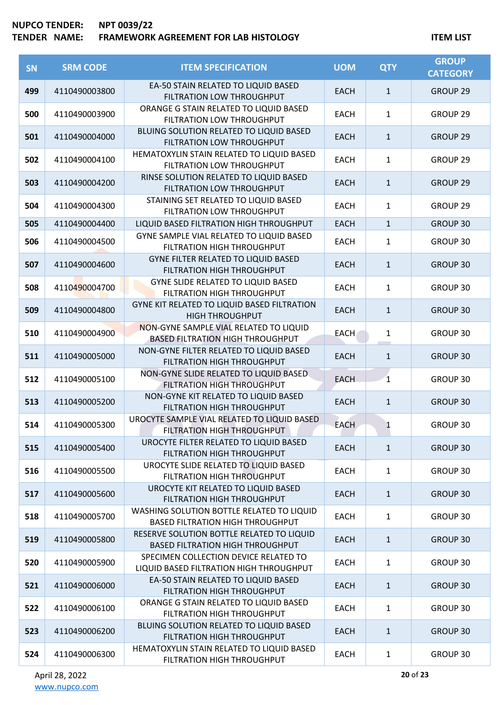| SN  | <b>SRM CODE</b> | <b>ITEM SPECIFICATION</b>                                                            | <b>UOM</b>  | <b>QTY</b>   | <b>GROUP</b><br><b>CATEGORY</b> |
|-----|-----------------|--------------------------------------------------------------------------------------|-------------|--------------|---------------------------------|
| 499 | 4110490003800   | EA-50 STAIN RELATED TO LIQUID BASED<br>FILTRATION LOW THROUGHPUT                     | <b>EACH</b> | $\mathbf{1}$ | <b>GROUP 29</b>                 |
| 500 | 4110490003900   | ORANGE G STAIN RELATED TO LIQUID BASED<br>FILTRATION LOW THROUGHPUT                  | <b>EACH</b> | $\mathbf{1}$ | GROUP <sub>29</sub>             |
| 501 | 4110490004000   | BLUING SOLUTION RELATED TO LIQUID BASED<br>FILTRATION LOW THROUGHPUT                 | <b>EACH</b> | $\mathbf{1}$ | <b>GROUP 29</b>                 |
| 502 | 4110490004100   | HEMATOXYLIN STAIN RELATED TO LIQUID BASED<br>FILTRATION LOW THROUGHPUT               | <b>EACH</b> | $\mathbf{1}$ | GROUP 29                        |
| 503 | 4110490004200   | RINSE SOLUTION RELATED TO LIQUID BASED<br>FILTRATION LOW THROUGHPUT                  | <b>EACH</b> | $\mathbf{1}$ | GROUP <sub>29</sub>             |
| 504 | 4110490004300   | STAINING SET RELATED TO LIQUID BASED<br>FILTRATION LOW THROUGHPUT                    | <b>EACH</b> | $\mathbf{1}$ | GROUP <sub>29</sub>             |
| 505 | 4110490004400   | LIQUID BASED FILTRATION HIGH THROUGHPUT                                              | <b>EACH</b> | $\mathbf{1}$ | GROUP 30                        |
| 506 | 4110490004500   | GYNE SAMPLE VIAL RELATED TO LIQUID BASED<br>FILTRATION HIGH THROUGHPUT               | <b>EACH</b> | 1            | GROUP 30                        |
| 507 | 4110490004600   | <b>GYNE FILTER RELATED TO LIQUID BASED</b><br>FILTRATION HIGH THROUGHPUT             | <b>EACH</b> | $\mathbf{1}$ | GROUP 30                        |
| 508 | 4110490004700   | <b>GYNE SLIDE RELATED TO LIQUID BASED</b><br>FILTRATION HIGH THROUGHPUT              | <b>EACH</b> | $\mathbf{1}$ | GROUP 30                        |
| 509 | 4110490004800   | GYNE KIT RELATED TO LIQUID BASED FILTRATION<br><b>HIGH THROUGHPUT</b>                | <b>EACH</b> | $\mathbf{1}$ | GROUP 30                        |
| 510 | 4110490004900   | NON-GYNE SAMPLE VIAL RELATED TO LIQUID<br><b>BASED FILTRATION HIGH THROUGHPUT</b>    | <b>EACH</b> | $\mathbf{1}$ | GROUP 30                        |
| 511 | 4110490005000   | NON-GYNE FILTER RELATED TO LIQUID BASED<br>FILTRATION HIGH THROUGHPUT                | <b>EACH</b> | $\mathbf{1}$ | GROUP 30                        |
| 512 | 4110490005100   | NON-GYNE SLIDE RELATED TO LIQUID BASED<br>FILTRATION HIGH THROUGHPUT                 | <b>EACH</b> | $\mathbf{1}$ | GROUP 30                        |
| 513 | 4110490005200   | NON-GYNE KIT RELATED TO LIQUID BASED<br>FILTRATION HIGH THROUGHPUT                   | <b>EACH</b> | $\mathbf{1}$ | GROUP 30                        |
| 514 | 4110490005300   | UROCYTE SAMPLE VIAL RELATED TO LIQUID BASED<br>FILTRATION HIGH THROUGHPUT            | <b>EACH</b> | 1            | GROUP 30                        |
| 515 | 4110490005400   | UROCYTE FILTER RELATED TO LIQUID BASED<br>FILTRATION HIGH THROUGHPUT                 | <b>EACH</b> | $\mathbf{1}$ | <b>GROUP 30</b>                 |
| 516 | 4110490005500   | UROCYTE SLIDE RELATED TO LIQUID BASED<br>FILTRATION HIGH THROUGHPUT                  | <b>EACH</b> | $\mathbf{1}$ | GROUP 30                        |
| 517 | 4110490005600   | UROCYTE KIT RELATED TO LIQUID BASED<br>FILTRATION HIGH THROUGHPUT                    | <b>EACH</b> | $\mathbf{1}$ | <b>GROUP 30</b>                 |
| 518 | 4110490005700   | WASHING SOLUTION BOTTLE RELATED TO LIQUID<br><b>BASED FILTRATION HIGH THROUGHPUT</b> | <b>EACH</b> | $\mathbf{1}$ | GROUP 30                        |
| 519 | 4110490005800   | RESERVE SOLUTION BOTTLE RELATED TO LIQUID<br><b>BASED FILTRATION HIGH THROUGHPUT</b> | <b>EACH</b> | $\mathbf{1}$ | <b>GROUP 30</b>                 |
| 520 | 4110490005900   | SPECIMEN COLLECTION DEVICE RELATED TO<br>LIQUID BASED FILTRATION HIGH THROUGHPUT     | <b>EACH</b> | $\mathbf{1}$ | GROUP 30                        |
| 521 | 4110490006000   | EA-50 STAIN RELATED TO LIQUID BASED<br>FILTRATION HIGH THROUGHPUT                    | <b>EACH</b> | $\mathbf{1}$ | <b>GROUP 30</b>                 |
| 522 | 4110490006100   | ORANGE G STAIN RELATED TO LIQUID BASED<br>FILTRATION HIGH THROUGHPUT                 | <b>EACH</b> | $\mathbf{1}$ | GROUP 30                        |
| 523 | 4110490006200   | BLUING SOLUTION RELATED TO LIQUID BASED<br>FILTRATION HIGH THROUGHPUT                | <b>EACH</b> | $\mathbf{1}$ | <b>GROUP 30</b>                 |
| 524 | 4110490006300   | HEMATOXYLIN STAIN RELATED TO LIQUID BASED<br>FILTRATION HIGH THROUGHPUT              | <b>EACH</b> | $\mathbf{1}$ | GROUP 30                        |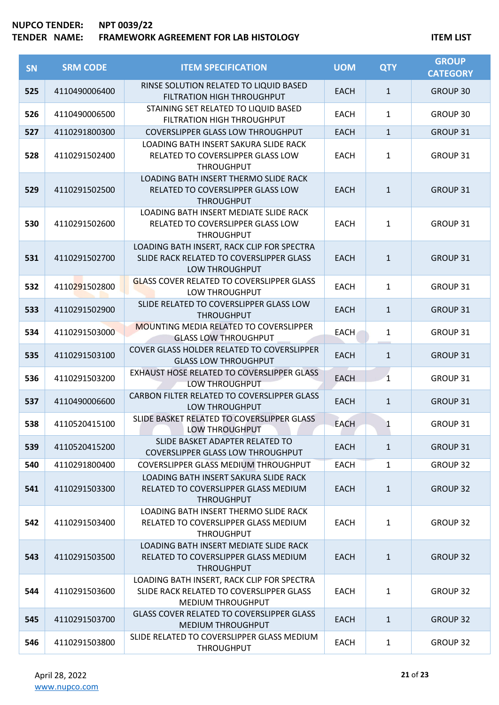| SN  | <b>SRM CODE</b> | <b>ITEM SPECIFICATION</b>                                                                                   | <b>UOM</b>  | <b>QTY</b>   | <b>GROUP</b><br><b>CATEGORY</b> |
|-----|-----------------|-------------------------------------------------------------------------------------------------------------|-------------|--------------|---------------------------------|
| 525 | 4110490006400   | RINSE SOLUTION RELATED TO LIQUID BASED<br>FILTRATION HIGH THROUGHPUT                                        | <b>EACH</b> | $\mathbf{1}$ | GROUP 30                        |
| 526 | 4110490006500   | STAINING SET RELATED TO LIQUID BASED<br>FILTRATION HIGH THROUGHPUT                                          | <b>EACH</b> | $\mathbf{1}$ | GROUP 30                        |
| 527 | 4110291800300   | <b>COVERSLIPPER GLASS LOW THROUGHPUT</b>                                                                    | <b>EACH</b> | $\mathbf{1}$ | GROUP 31                        |
| 528 | 4110291502400   | LOADING BATH INSERT SAKURA SLIDE RACK<br>RELATED TO COVERSLIPPER GLASS LOW<br><b>THROUGHPUT</b>             | <b>EACH</b> | $\mathbf{1}$ | GROUP 31                        |
| 529 | 4110291502500   | <b>LOADING BATH INSERT THERMO SLIDE RACK</b><br>RELATED TO COVERSLIPPER GLASS LOW<br><b>THROUGHPUT</b>      | <b>EACH</b> | $\mathbf{1}$ | <b>GROUP 31</b>                 |
| 530 | 4110291502600   | LOADING BATH INSERT MEDIATE SLIDE RACK<br>RELATED TO COVERSLIPPER GLASS LOW<br><b>THROUGHPUT</b>            | <b>EACH</b> | $\mathbf{1}$ | GROUP 31                        |
| 531 | 4110291502700   | LOADING BATH INSERT, RACK CLIP FOR SPECTRA<br>SLIDE RACK RELATED TO COVERSLIPPER GLASS<br>LOW THROUGHPUT    | <b>EACH</b> | $\mathbf{1}$ | <b>GROUP 31</b>                 |
| 532 | 4110291502800   | <b>GLASS COVER RELATED TO COVERSLIPPER GLASS</b><br><b>LOW THROUGHPUT</b>                                   | <b>EACH</b> | $\mathbf{1}$ | GROUP 31                        |
| 533 | 4110291502900   | SLIDE RELATED TO COVERSLIPPER GLASS LOW<br><b>THROUGHPUT</b>                                                | <b>EACH</b> | $\mathbf{1}$ | <b>GROUP 31</b>                 |
| 534 | 4110291503000   | <b>MOUNTING MEDIA RELATED TO COVERSLIPPER</b><br><b>GLASS LOW THROUGHPUT</b>                                | <b>EACH</b> | $\mathbf{1}$ | GROUP 31                        |
| 535 | 4110291503100   | COVER GLASS HOLDER RELATED TO COVERSLIPPER<br><b>GLASS LOW THROUGHPUT</b>                                   | <b>EACH</b> | $\mathbf{1}$ | GROUP 31                        |
| 536 | 4110291503200   | EXHAUST HOSE RELATED TO COVERSLIPPER GLASS<br>LOW THROUGHPUT                                                | <b>EACH</b> | 1            | GROUP 31                        |
| 537 | 4110490006600   | CARBON FILTER RELATED TO COVERSLIPPER GLASS<br>LOW THROUGHPUT                                               | <b>EACH</b> | $\mathbf{1}$ | <b>GROUP 31</b>                 |
| 538 | 4110520415100   | SLIDE BASKET RELATED TO COVERSLIPPER GLASS<br>LOW THROUGHPUT                                                | <b>EACH</b> | 1            | GROUP 31                        |
| 539 | 4110520415200   | SLIDE BASKET ADAPTER RELATED TO<br><b>COVERSLIPPER GLASS LOW THROUGHPUT</b>                                 | <b>EACH</b> | $\mathbf{1}$ | <b>GROUP 31</b>                 |
| 540 | 4110291800400   | COVERSLIPPER GLASS MEDIUM THROUGHPUT                                                                        | <b>EACH</b> | $\mathbf{1}$ | <b>GROUP 32</b>                 |
| 541 | 4110291503300   | LOADING BATH INSERT SAKURA SLIDE RACK<br>RELATED TO COVERSLIPPER GLASS MEDIUM<br><b>THROUGHPUT</b>          | <b>EACH</b> | $\mathbf{1}$ | <b>GROUP 32</b>                 |
| 542 | 4110291503400   | LOADING BATH INSERT THERMO SLIDE RACK<br>RELATED TO COVERSLIPPER GLASS MEDIUM<br><b>THROUGHPUT</b>          | <b>EACH</b> | $\mathbf{1}$ | <b>GROUP 32</b>                 |
| 543 | 4110291503500   | LOADING BATH INSERT MEDIATE SLIDE RACK<br>RELATED TO COVERSLIPPER GLASS MEDIUM<br><b>THROUGHPUT</b>         | <b>EACH</b> | $\mathbf{1}$ | <b>GROUP 32</b>                 |
| 544 | 4110291503600   | LOADING BATH INSERT, RACK CLIP FOR SPECTRA<br>SLIDE RACK RELATED TO COVERSLIPPER GLASS<br>MEDIUM THROUGHPUT | <b>EACH</b> | $\mathbf{1}$ | <b>GROUP 32</b>                 |
| 545 | 4110291503700   | <b>GLASS COVER RELATED TO COVERSLIPPER GLASS</b><br><b>MEDIUM THROUGHPUT</b>                                | <b>EACH</b> | $\mathbf{1}$ | <b>GROUP 32</b>                 |
| 546 | 4110291503800   | SLIDE RELATED TO COVERSLIPPER GLASS MEDIUM<br><b>THROUGHPUT</b>                                             | <b>EACH</b> | 1            | <b>GROUP 32</b>                 |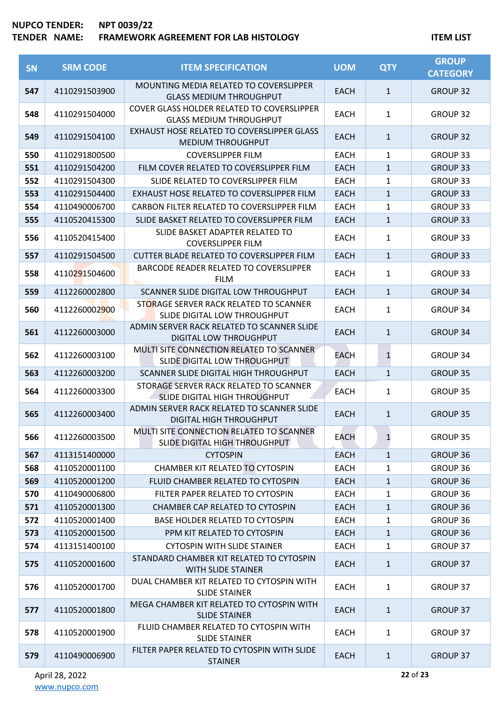| SN  | <b>SRM CODE</b> | <b>ITEM SPECIFICATION</b>                                                    | <b>UOM</b>  | <b>QTY</b>   | <b>GROUP</b><br><b>CATEGORY</b> |
|-----|-----------------|------------------------------------------------------------------------------|-------------|--------------|---------------------------------|
| 547 | 4110291503900   | MOUNTING MEDIA RELATED TO COVERSLIPPER<br><b>GLASS MEDIUM THROUGHPUT</b>     | <b>EACH</b> | $\mathbf{1}$ | <b>GROUP 32</b>                 |
| 548 | 4110291504000   | COVER GLASS HOLDER RELATED TO COVERSLIPPER<br><b>GLASS MEDIUM THROUGHPUT</b> | <b>EACH</b> | 1            | <b>GROUP 32</b>                 |
| 549 | 4110291504100   | EXHAUST HOSE RELATED TO COVERSLIPPER GLASS<br><b>MEDIUM THROUGHPUT</b>       | <b>EACH</b> | $\mathbf{1}$ | <b>GROUP 32</b>                 |
| 550 | 4110291800500   | <b>COVERSLIPPER FILM</b>                                                     | <b>EACH</b> | 1            | GROUP 33                        |
| 551 | 4110291504200   | FILM COVER RELATED TO COVERSLIPPER FILM                                      | <b>EACH</b> | $\mathbf{1}$ | <b>GROUP 33</b>                 |
| 552 | 4110291504300   | SLIDE RELATED TO COVERSLIPPER FILM                                           | <b>EACH</b> | 1            | GROUP 33                        |
| 553 | 4110291504400   | EXHAUST HOSE RELATED TO COVERSLIPPER FILM                                    | <b>EACH</b> | $\mathbf 1$  | <b>GROUP 33</b>                 |
| 554 | 4110490006700   | CARBON FILTER RELATED TO COVERSLIPPER FILM                                   | <b>EACH</b> | 1            | GROUP 33                        |
| 555 | 4110520415300   | SLIDE BASKET RELATED TO COVERSLIPPER FILM                                    | <b>EACH</b> | $\mathbf{1}$ | <b>GROUP 33</b>                 |
| 556 | 4110520415400   | SLIDE BASKET ADAPTER RELATED TO<br><b>COVERSLIPPER FILM</b>                  | <b>EACH</b> | 1            | <b>GROUP 33</b>                 |
| 557 | 4110291504500   | <b>CUTTER BLADE RELATED TO COVERSLIPPER FILM</b>                             | <b>EACH</b> | $\mathbf{1}$ | <b>GROUP 33</b>                 |
| 558 | 4110291504600   | BARCODE READER RELATED TO COVERSLIPPER<br><b>FILM</b>                        | <b>EACH</b> | 1            | <b>GROUP 33</b>                 |
| 559 | 4112260002800   | SCANNER SLIDE DIGITAL LOW THROUGHPUT                                         | <b>EACH</b> | $\mathbf{1}$ | <b>GROUP 34</b>                 |
| 560 | 4112260002900   | STORAGE SERVER RACK RELATED TO SCANNER<br>SLIDE DIGITAL LOW THROUGHPUT       | <b>EACH</b> | 1            | <b>GROUP 34</b>                 |
| 561 | 4112260003000   | ADMIN SERVER RACK RELATED TO SCANNER SLIDE<br>DIGITAL LOW THROUGHPUT         | <b>EACH</b> | $\mathbf{1}$ | <b>GROUP 34</b>                 |
| 562 | 4112260003100   | MULTI SITE CONNECTION RELATED TO SCANNER<br>SLIDE DIGITAL LOW THROUGHPUT     | EACH        | $\mathbf{1}$ | <b>GROUP 34</b>                 |
| 563 | 4112260003200   | SCANNER SLIDE DIGITAL HIGH THROUGHPUT                                        | <b>EACH</b> | $\mathbf{1}$ | <b>GROUP 35</b>                 |
| 564 | 4112260003300   | STORAGE SERVER RACK RELATED TO SCANNER<br>SLIDE DIGITAL HIGH THROUGHPUT      | <b>EACH</b> | 1            | GROUP 35                        |
| 565 | 4112260003400   | ADMIN SERVER RACK RELATED TO SCANNER SLIDE<br><b>DIGITAL HIGH THROUGHPUT</b> | <b>EACH</b> | $\mathbf{1}$ | <b>GROUP 35</b>                 |
| 566 | 4112260003500   | MULTI SITE CONNECTION RELATED TO SCANNER<br>SLIDE DIGITAL HIGH THROUGHPUT    | <b>EACH</b> | $\mathbf{1}$ | <b>GROUP 35</b>                 |
| 567 | 4113151400000   | <b>CYTOSPIN</b>                                                              | <b>EACH</b> | $\mathbf{1}$ | GROUP 36                        |
| 568 | 4110520001100   | <b>CHAMBER KIT RELATED TO CYTOSPIN</b>                                       | EACH        | 1            | GROUP 36                        |
| 569 | 4110520001200   | FLUID CHAMBER RELATED TO CYTOSPIN                                            | <b>EACH</b> | $\mathbf{1}$ | <b>GROUP 36</b>                 |
| 570 | 4110490006800   | FILTER PAPER RELATED TO CYTOSPIN                                             | EACH        | 1            | GROUP 36                        |
| 571 | 4110520001300   | CHAMBER CAP RELATED TO CYTOSPIN                                              | <b>EACH</b> | $\mathbf{1}$ | GROUP 36                        |
| 572 | 4110520001400   | BASE HOLDER RELATED TO CYTOSPIN                                              | <b>EACH</b> | 1            | GROUP 36                        |
| 573 | 4110520001500   | PPM KIT RELATED TO CYTOSPIN                                                  | <b>EACH</b> | $\mathbf{1}$ | GROUP 36                        |
| 574 | 4113151400100   | <b>CYTOSPIN WITH SLIDE STAINER</b>                                           | <b>EACH</b> | 1            | GROUP 37                        |
| 575 | 4110520001600   | STANDARD CHAMBER KIT RELATED TO CYTOSPIN<br>WITH SLIDE STAINER               | <b>EACH</b> | $\mathbf{1}$ | GROUP 37                        |
| 576 | 4110520001700   | DUAL CHAMBER KIT RELATED TO CYTOSPIN WITH<br><b>SLIDE STAINER</b>            | <b>EACH</b> | $\mathbf{1}$ | GROUP 37                        |
| 577 | 4110520001800   | MEGA CHAMBER KIT RELATED TO CYTOSPIN WITH<br><b>SLIDE STAINER</b>            | <b>EACH</b> | $\mathbf{1}$ | GROUP 37                        |
| 578 | 4110520001900   | FLUID CHAMBER RELATED TO CYTOSPIN WITH<br><b>SLIDE STAINER</b>               | <b>EACH</b> | $\mathbf{1}$ | GROUP 37                        |
| 579 | 4110490006900   | FILTER PAPER RELATED TO CYTOSPIN WITH SLIDE<br><b>STAINER</b>                | <b>EACH</b> | $\mathbf{1}$ | GROUP 37                        |